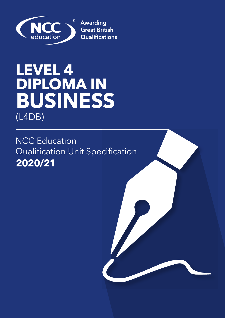

# **LEVEL 4 DIPLOMA IN BUSINESS**  (L4DB)

**2020/21** NCC Education Qualification Unit Specification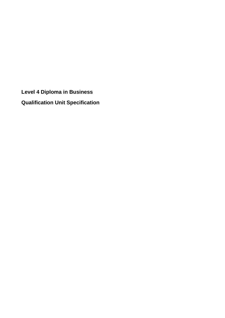**Level 4 Diploma in Business Qualification Unit Specification**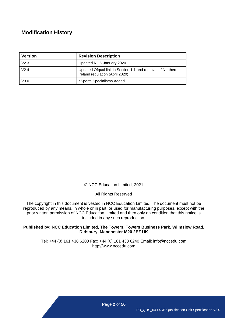### **Modification History**

| <b>Version</b>   | <b>Revision Description</b>                                                                   |
|------------------|-----------------------------------------------------------------------------------------------|
| V <sub>2.3</sub> | Updated NOS January 2020                                                                      |
| V2.4             | Updated Ofqual link in Section 1.1 and removal of Northern<br>Ireland regulation (April 2020) |
| V3.0             | eSports Specialisms Added                                                                     |

© NCC Education Limited, 2021

All Rights Reserved

The copyright in this document is vested in NCC Education Limited. The document must not be reproduced by any means, in whole or in part, or used for manufacturing purposes, except with the prior written permission of NCC Education Limited and then only on condition that this notice is included in any such reproduction.

#### **Published by: NCC Education Limited, The Towers, Towers Business Park, Wilmslow Road, Didsbury, Manchester M20 2EZ UK**

Tel: +44 (0) 161 438 6200 Fax: +44 (0) 161 438 6240 Email: info@nccedu.com [http://www.nccedu.com](http://www.nccedu.com/)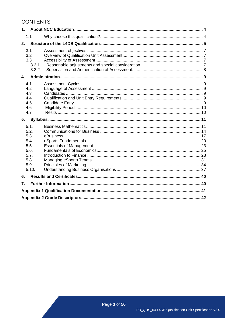# **CONTENTS**

| 1.               |                                                                               |  |
|------------------|-------------------------------------------------------------------------------|--|
|                  | 1.1                                                                           |  |
| 2.               |                                                                               |  |
|                  | 3.1<br>3.2<br>3.3<br>3.3.1<br>3.3.2                                           |  |
| 4                |                                                                               |  |
|                  | 4.1<br>4.2<br>4.3<br>4.4<br>4.5<br>4.6<br>4.7                                 |  |
|                  |                                                                               |  |
| 5.               |                                                                               |  |
|                  | 5.1.<br>5.2.<br>5.3.<br>5.4.<br>5.5.<br>5.6.<br>5.7.<br>5.8.<br>5.9.<br>5.10. |  |
| 6.               |                                                                               |  |
| $\overline{7}$ . |                                                                               |  |
|                  |                                                                               |  |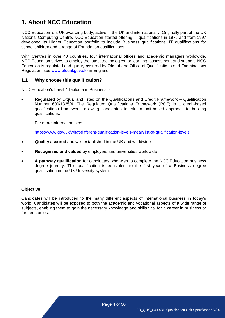# <span id="page-4-0"></span>**1. About NCC Education**

NCC Education is a UK awarding body, active in the UK and internationally. Originally part of the UK National Computing Centre, NCC Education started offering IT qualifications in 1976 and from 1997 developed its Higher Education portfolio to include Business qualifications, IT qualifications for school children and a range of Foundation qualifications.

With Centres in over 40 countries, four international offices and academic managers worldwide, NCC Education strives to employ the latest technologies for learning, assessment and support. NCC Education is regulated and quality assured by Ofqual (the Office of Qualifications and Examinations Regulation, see [www.ofqual.gov.uk\)](http://www.ofqual.gov.uk/) in England.

#### <span id="page-4-1"></span>**1.1 Why choose this qualification?**

NCC Education's Level 4 Diploma in Business is:

• **Regulated** by Ofqual and listed on the Qualifications and Credit Framework – Qualification Number 600/1325/4. The Regulated Qualifications Framework (RQF) is a credit-based qualifications framework, allowing candidates to take a unit-based approach to building qualifications.

For more information see:

<https://www.gov.uk/what-different-qualification-levels-mean/list-of-qualification-levels>

- **Quality assured** and well established in the UK and worldwide
- **Recognised and valued** by employers and universities worldwide
- **A pathway qualification** for candidates who wish to complete the NCC Education business degree journey. This qualification is equivalent to the first year of a Business degree qualification in the UK University system.

#### **Objective**

Candidates will be introduced to the many different aspects of international business in today's world. Candidates will be exposed to both the academic and vocational aspects of a wide range of subjects, enabling them to gain the necessary knowledge and skills vital for a career in business or further studies.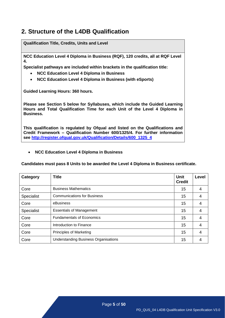# <span id="page-5-0"></span>**2. Structure of the L4DB Qualification**

**Qualification Title, Credits, Units and Level NCC Education Level 4 Diploma in Business (RQF), 120 credits, all at RQF Level 4. Specialist pathways are included within brackets in the qualification title:** • **NCC Education Level 4 Diploma in Business** • **NCC Education Level 4 Diploma in Business (with eSports) Guided Learning Hours: 360 hours. Please see Section 5 below for Syllabuses, which include the Guided Learning Hours and Total Qualification Time for each Unit of the Level 4 Diploma in Business. This qualification is regulated by Ofqual and listed on the Qualifications and Credit Framework – Qualification Number 600/1325/4. For further information see [http://register.ofqual.gov.uk/Qualification/Details/600\\_1325\\_4](http://register.ofqual.gov.uk/Qualification/Details/600_1325_4)**

#### • **NCC Education Level 4 Diploma in Business**

**Candidates must pass 8 Units to be awarded the Level 4 Diploma in Business certificate.**

| <b>Category</b>   | <b>Title</b>                                | <b>Unit</b><br><b>Credit</b> | Level |
|-------------------|---------------------------------------------|------------------------------|-------|
| Core              | <b>Business Mathematics</b>                 | 15                           | 4     |
| <b>Specialist</b> | <b>Communications for Business</b>          | 15                           | 4     |
| Core              | eBusiness                                   | 15                           | 4     |
| <b>Specialist</b> | <b>Essentials of Management</b>             | 15                           | 4     |
| Core              | <b>Fundamentals of Economics</b>            | 15                           | 4     |
| Core              | Introduction to Finance                     | 15                           | 4     |
| Core              | <b>Principles of Marketing</b>              | 15                           | 4     |
| Core              | <b>Understanding Business Organisations</b> | 15                           | 4     |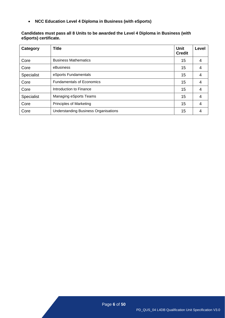• **NCC Education Level 4 Diploma in Business (with eSports)**

#### **Candidates must pass all 8 Units to be awarded the Level 4 Diploma in Business (with eSports) certificate.**

| Category          | <b>Title</b>                                | <b>Unit</b><br><b>Credit</b> | Level |
|-------------------|---------------------------------------------|------------------------------|-------|
| Core              | <b>Business Mathematics</b>                 | 15                           | 4     |
| Core              | eBusiness                                   | 15                           | 4     |
| <b>Specialist</b> | eSports Fundamentals                        | 15                           | 4     |
| Core              | <b>Fundamentals of Economics</b>            | 15                           | 4     |
| Core              | Introduction to Finance                     | 15                           | 4     |
| Specialist        | Managing eSports Teams                      | 15                           | 4     |
| Core              | <b>Principles of Marketing</b>              | 15                           | 4     |
| Core              | <b>Understanding Business Organisations</b> | 15                           | 4     |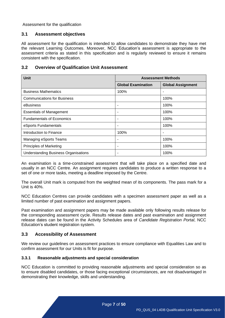Assessment for the qualification

#### <span id="page-7-0"></span>**3.1 Assessment objectives**

All assessment for the qualification is intended to allow candidates to demonstrate they have met the relevant Learning Outcomes. Moreover, NCC Education's assessment is appropriate to the assessment criteria as stated in this specification and is regularly reviewed to ensure it remains consistent with the specification.

#### <span id="page-7-1"></span>**3.2 Overview of Qualification Unit Assessment**

| <b>Unit</b>                                 | <b>Assessment Methods</b> |                          |  |
|---------------------------------------------|---------------------------|--------------------------|--|
|                                             | <b>Global Examination</b> | <b>Global Assignment</b> |  |
| <b>Business Mathematics</b>                 | 100%                      | -                        |  |
| <b>Communications for Business</b>          |                           | 100%                     |  |
| eBusiness                                   |                           | 100%                     |  |
| <b>Essentials of Management</b>             | ۰                         | 100%                     |  |
| <b>Fundamentals of Economics</b>            | ۰                         | 100%                     |  |
| eSports Fundamentals                        | ۰                         | 100%                     |  |
| Introduction to Finance                     | 100%                      | ٠                        |  |
| Managing eSports Teams                      | ۰                         | 100%                     |  |
| <b>Principles of Marketing</b>              | ۰                         | 100%                     |  |
| <b>Understanding Business Organisations</b> |                           | 100%                     |  |

An examination is a time-constrained assessment that will take place on a specified date and usually in an NCC Centre. An assignment requires candidates to produce a written response to a set of one or more tasks, meeting a deadline imposed by the Centre.

The overall Unit mark is computed from the weighted mean of its components. The pass mark for a Unit is 40%.

NCC Education Centres can provide candidates with a specimen assessment paper as well as a limited number of past examination and assignment papers.

Past examination and assignment papers may be made available only following results release for the corresponding assessment cycle. Results release dates and past examination and assignment release dates can be found in the Activity Schedules area of *Candidate Registration Portal*, NCC Education's student registration system.

#### <span id="page-7-2"></span>**3.3 Accessibility of Assessment**

We review our guidelines on assessment practices to ensure compliance with Equalities Law and to confirm assessment for our Units is fit for purpose.

#### <span id="page-7-3"></span>**3.3.1 Reasonable adjustments and special consideration**

NCC Education is committed to providing reasonable adjustments and special consideration so as to ensure disabled candidates, or those facing exceptional circumstances, are not disadvantaged in demonstrating their knowledge, skills and understanding.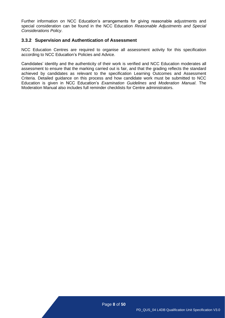Further information on NCC Education's arrangements for giving reasonable adjustments and special consideration can be found in the NCC Education *Reasonable Adjustments and Special Considerations Policy*.

#### <span id="page-8-0"></span>**3.3.2 Supervision and Authentication of Assessment**

NCC Education Centres are required to organise all assessment activity for this specification according to NCC Education's Policies and Advice.

Candidates' identity and the authenticity of their work is verified and NCC Education moderates all assessment to ensure that the marking carried out is fair, and that the grading reflects the standard achieved by candidates as relevant to the specification Learning Outcomes and Assessment Criteria. Detailed guidance on this process and how candidate work must be submitted to NCC Education is given in NCC Education's *Examination Guidelines* and *Moderation Manual*. The Moderation Manual also includes full reminder checklists for Centre administrators.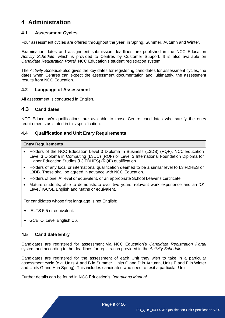# <span id="page-9-0"></span>**4 Administration**

#### <span id="page-9-1"></span>**4.1 Assessment Cycles**

Four assessment cycles are offered throughout the year, in Spring, Summer, Autumn and Winter.

Examination dates and assignment submission deadlines are published in the NCC Education *Activity Schedule*, which is provided to Centres by Customer Support. It is also available on *Candidate Registration Portal,* NCC Education's student registration system.

The *Activity Schedule* also gives the key dates for registering candidates for assessment cycles, the dates when Centres can expect the assessment documentation and, ultimately, the assessment results from NCC Education.

#### <span id="page-9-2"></span>**4.2 Language of Assessment**

All assessment is conducted in English.

#### <span id="page-9-3"></span>**4.3 Candidates**

NCC Education's qualifications are available to those Centre candidates who satisfy the entry requirements as stated in this specification.

#### <span id="page-9-4"></span>**4.4 Qualification and Unit Entry Requirements**

#### **Entry Requirements**

- Holders of the NCC Education Level 3 Diploma in Business (L3DB) (RQF), NCC Education Level 3 Diploma in Computing (L3DC) (RQF) or Level 3 International Foundation Diploma for Higher Education Studies (L3IFDHES) (RQF) qualification.
- Holders of any local or international qualification deemed to be a similar level to L3IFDHES or L3DB. These shall be agreed in advance with NCC Education.
- Holders of one 'A' level or equivalent, or an appropriate School Leaver's certificate.
- Mature students, able to demonstrate over two years' relevant work experience and an 'O' Level/ IGCSE English and Maths or equivalent.

For candidates whose first language is not English:

- **IELTS 5.5 or equivalent.**
- GCE 'O' Level English C6.

#### <span id="page-9-5"></span>**4.5 Candidate Entry**

Candidates are registered for assessment via NCC Education's *Candidate Registration Portal* system and according to the deadlines for registration provided in the *Activity Schedule*

Candidates are registered for the assessment of each Unit they wish to take in a particular assessment cycle (e.g. Units A and B in Summer, Units C and D in Autumn, Units E and F in Winter and Units G and H in Spring). This includes candidates who need to resit a particular Unit.

Further details can be found in NCC Education's *Operations Manual*.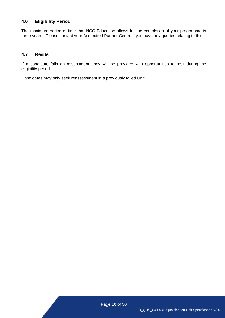#### <span id="page-10-0"></span>**4.6 Eligibility Period**

The maximum period of time that NCC Education allows for the completion of your programme is three years. Please contact your Accredited Partner Centre if you have any queries relating to this.

#### <span id="page-10-1"></span>**4.7 Resits**

If a candidate fails an assessment, they will be provided with opportunities to resit during the eligibility period.

Candidates may only seek reassessment in a previously failed Unit.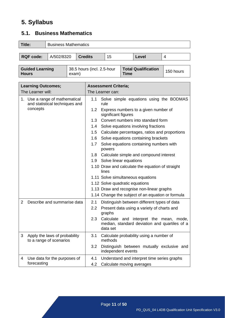# <span id="page-11-0"></span>**5. Syllabus**

# <span id="page-11-1"></span>**5.1. Business Mathematics**

| Title:                                                                      | <b>Business Mathematics</b> |                                             |  |  |  |  |  |
|-----------------------------------------------------------------------------|-----------------------------|---------------------------------------------|--|--|--|--|--|
| <b>RQF</b> code:                                                            |                             | A/502/8320<br><b>Credits</b><br>15<br>Level |  |  |  |  |  |
|                                                                             |                             |                                             |  |  |  |  |  |
| <b>Total Qualification</b><br>Cuided Learning<br>20 E houre (incl. 2 E hour |                             |                                             |  |  |  |  |  |

| <b>Guided Learning</b><br><b>Hours</b><br>exam) |  | 38.5 hours (incl. 2.5-hour | <b>Total Qualification</b><br><b>Time</b> | 150 hours |
|-------------------------------------------------|--|----------------------------|-------------------------------------------|-----------|
|                                                 |  |                            |                                           |           |

| <b>Learning Outcomes;</b> |                                                                  |                  | <b>Assessment Criteria;</b>                                                                          |
|---------------------------|------------------------------------------------------------------|------------------|------------------------------------------------------------------------------------------------------|
|                           | The Learner will:                                                |                  | The Learner can:                                                                                     |
|                           | 1. Use a range of mathematical<br>and statistical techniques and | 1.1              | Solve simple equations using the BODMAS<br>rule                                                      |
|                           | concepts                                                         | 1.2 <sub>2</sub> | Express numbers to a given number of<br>significant figures                                          |
|                           |                                                                  | 1.3              | Convert numbers into standard form                                                                   |
|                           |                                                                  | 1.4              | Solve equations involving fractions                                                                  |
|                           |                                                                  | 1.5              | Calculate percentages, ratios and proportions                                                        |
|                           |                                                                  | 1.6              | Solve equations containing brackets                                                                  |
|                           |                                                                  | 1.7              | Solve equations containing numbers with<br>powers                                                    |
|                           |                                                                  | 1.8              | Calculate simple and compound interest                                                               |
|                           |                                                                  | 1.9              | Solve linear equations                                                                               |
|                           |                                                                  |                  | 1.10 Draw and calculate the equation of straight<br>lines                                            |
|                           |                                                                  |                  | 1.11 Solve simultaneous equations                                                                    |
|                           |                                                                  |                  | 1.12 Solve quadratic equations                                                                       |
|                           |                                                                  |                  | 1.13 Draw and recognise non-linear graphs                                                            |
|                           |                                                                  |                  | 1.14 Change the subject of an equation or formula                                                    |
| $\overline{2}$            | Describe and summarise data                                      | 2.1              | Distinguish between different types of data                                                          |
|                           |                                                                  | $2.2^{\circ}$    | Present data using a variety of charts and<br>graphs                                                 |
|                           |                                                                  | 2.3              | Calculate and interpret the mean, mode,<br>median, standard deviation and quartiles of a<br>data set |
| 3                         | Apply the laws of probability<br>to a range of scenarios         | 3.1              | Calculate probability using a number of<br>methods                                                   |
|                           |                                                                  | 3.2              | Distinguish between mutually exclusive and<br>independent events                                     |
| 4                         | Use data for the purposes of                                     | 4.1              | Understand and interpret time series graphs                                                          |
|                           | forecasting                                                      | 4.2              | Calculate moving averages                                                                            |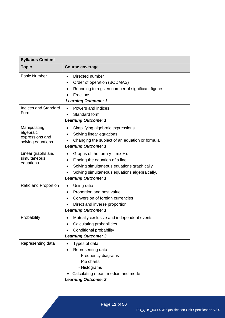| <b>Syllabus Content</b>                                           |                                                                                                                                                                                                                          |  |  |  |
|-------------------------------------------------------------------|--------------------------------------------------------------------------------------------------------------------------------------------------------------------------------------------------------------------------|--|--|--|
| <b>Topic</b>                                                      | <b>Course coverage</b>                                                                                                                                                                                                   |  |  |  |
| <b>Basic Number</b>                                               | Directed number<br>$\bullet$<br>Order of operation (BODMAS)<br>$\bullet$<br>Rounding to a given number of significant figures<br><b>Fractions</b><br><b>Learning Outcome: 1</b>                                          |  |  |  |
| <b>Indices and Standard</b><br>Form                               | Powers and indices<br>Standard form<br><b>Learning Outcome: 1</b>                                                                                                                                                        |  |  |  |
| Manipulating<br>algebraic<br>expressions and<br>solving equations | Simplifying algebraic expressions<br>Solving linear equations<br>Changing the subject of an equation or formula<br><b>Learning Outcome: 1</b>                                                                            |  |  |  |
| Linear graphs and<br>simultaneous<br>equations                    | Graphs of the form $y = mx + c$<br>$\bullet$<br>Finding the equation of a line<br>$\bullet$<br>Solving simultaneous equations graphically<br>Solving simultaneous equations algebraically.<br><b>Learning Outcome: 1</b> |  |  |  |
| Ratio and Proportion                                              | Using ratio<br>Proportion and best value<br>Conversion of foreign currencies<br>Direct and inverse proportion<br><b>Learning Outcome: 1</b>                                                                              |  |  |  |
| Probability                                                       | Mutually exclusive and independent events<br>$\bullet$<br>Calculating probabilities<br>Conditional probability<br><b>Learning Outcome: 3</b>                                                                             |  |  |  |
| Representing data                                                 | Types of data<br>Representing data<br>- Frequency diagrams<br>- Pie charts<br>- Histograms<br>Calculating mean, median and mode<br><b>Learning Outcome: 2</b>                                                            |  |  |  |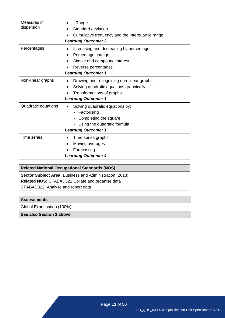| Measures of<br>dispersion | . Range<br>Standard deviation<br>Cumulative frequency and the Interquartile range.<br><b>Learning Outcome: 2</b>                                   |
|---------------------------|----------------------------------------------------------------------------------------------------------------------------------------------------|
| Percentages               | Increasing and decreasing by percentages<br>Percentage change<br>Simple and compound interest<br>Reverse percentages<br><b>Learning Outcome: 1</b> |
| Non-linear graphs         | Drawing and recognising non-linear graphs<br>Solving quadratic equations graphically<br>Transformations of graphs<br><b>Learning Outcome: 1</b>    |
| Quadratic equations       | Solving quadratic equations by:<br>Factorising<br>Completing the square<br>Using the quadratic formula<br><b>Learning Outcome: 1</b>               |
| <b>Time series</b>        | Time series graphs<br>Moving averages<br>Forecasting<br><b>Learning Outcome: 4</b>                                                                 |

# **Related National Occupational Standards (NOS) Sector Subject Area: Business and Administration (2013) Related NOS:** CFABAD321 Collate and organise data CFABAD322 Analyse and report data

#### **Assessments**

Global Examination (100%)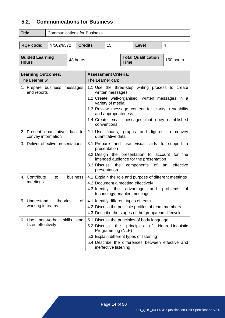### <span id="page-14-0"></span>**5.2. Communications for Business**

| Title:           | <b>Communications for Business</b> |                |    |       |  |
|------------------|------------------------------------|----------------|----|-------|--|
| <b>RQF code:</b> | Y/502/9572                         | <b>Credits</b> | 15 | Level |  |
|                  |                                    |                |    |       |  |

| <b>Guided Learning</b> | 48 hours | <b>Total Qualification</b> | 150 hours |
|------------------------|----------|----------------------------|-----------|
| <b>Hours</b>           |          | <b>Time</b>                |           |

| <b>Learning Outcomes;</b>                             | <b>Assessment Criteria;</b>                                                              |
|-------------------------------------------------------|------------------------------------------------------------------------------------------|
| The Learner will:                                     | The Learner can:                                                                         |
| 1. Prepare business messages<br>and reports           | 1.1 Use the three-step writing process to create<br>written messages                     |
|                                                       | 1.2 Create well-organised, written messages in a<br>variety of media                     |
|                                                       | 1.3 Review message content for clarity, readability<br>and appropriateness               |
|                                                       | 1.4 Create email messages that obey established<br>conventions                           |
| 2. Present quantitative data to<br>convey information | figures<br>2.1 Use charts, graphs and<br>to<br>convey<br>quantitative data               |
| 3. Deliver effective presentations                    | 3.1 Prepare and use visual aids to<br>support a<br>presentation                          |
|                                                       | 3.2 Design the presentation to account for the<br>intended audience for the presentation |
|                                                       | the<br>of<br>effective<br>3.3 Discuss<br>components<br>an<br>presentation                |
| 4. Contribute<br>business<br>to                       | 4.1 Explain the role and purpose of different meetings                                   |
| meetings                                              | 4.2 Document a meeting effectively                                                       |
|                                                       | the<br>4.3 Identify<br>advantage<br>and<br>problems<br>οf<br>technology-enabled meetings |
| 5. Understand<br>theories<br>of                       | 4.1 Identify different types of team                                                     |
| working in teams                                      | 4.2 Discuss the possible profiles of team members                                        |
|                                                       | 4.3 Describe the stages of the group/team lifecycle                                      |
| skills<br>6. Use<br>non-verbal<br>and                 | 5.1 Discuss the principles of body language                                              |
| listen effectively                                    | 5.2 Discuss<br>the<br>principles<br>of<br>Neuro-Linguistic<br>Programming (NLP)          |
|                                                       | 5.3 Explain different types of listening                                                 |
|                                                       | 5.4 Describe the differences between effective and<br>ineffective listening              |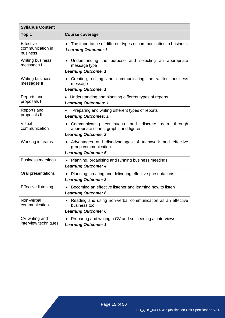| <b>Syllabus Content</b>                   |                                                                                                                                     |  |  |  |  |  |  |
|-------------------------------------------|-------------------------------------------------------------------------------------------------------------------------------------|--|--|--|--|--|--|
| <b>Topic</b>                              | <b>Course coverage</b>                                                                                                              |  |  |  |  |  |  |
| Effective<br>communication in<br>business | The importance of different types of communication in business<br><b>Learning Outcome: 1</b>                                        |  |  |  |  |  |  |
| <b>Writing business</b><br>messages I     | Understanding the purpose and selecting an appropriate<br>message type<br><b>Learning Outcome: 1</b>                                |  |  |  |  |  |  |
| <b>Writing business</b><br>messages II    | Creating, editing and communicating the written business<br>message<br><b>Learning Outcome: 1</b>                                   |  |  |  |  |  |  |
| Reports and<br>proposals I                | Understanding and planning different types of reports<br><b>Learning Outcomes: 1</b>                                                |  |  |  |  |  |  |
| Reports and<br>proposals II               | Preparing and writing different types of reports<br><b>Learning Outcomes: 1</b>                                                     |  |  |  |  |  |  |
| Visual<br>communication                   | Communicating continuous and<br>discrete<br>data<br>through<br>appropriate charts, graphs and figures<br><b>Learning Outcome: 2</b> |  |  |  |  |  |  |
| Working in teams                          | Advantages and disadvantages of teamwork and effective<br>group communication<br><b>Learning Outcome: 5</b>                         |  |  |  |  |  |  |
| <b>Business meetings</b>                  | Planning, organising and running business meetings<br><b>Learning Outcome: 4</b>                                                    |  |  |  |  |  |  |
| Oral presentations                        | Planning, creating and delivering effective presentations<br><b>Learning Outcome: 3</b>                                             |  |  |  |  |  |  |
| <b>Effective listening</b>                | Becoming an effective listener and learning how to listen<br><b>Learning Outcome: 6</b>                                             |  |  |  |  |  |  |
| Non-verbal<br>communication               | Reading and using non-verbal communication as an effective<br>business tool<br><b>Learning Outcome: 6</b>                           |  |  |  |  |  |  |
| CV writing and<br>interview techniques    | Preparing and writing a CV and succeeding at interviews<br><b>Learning Outcome: 1</b>                                               |  |  |  |  |  |  |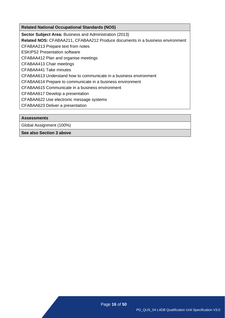**Sector Subject Area: Business and Administration (2013)** 

**Related NOS:** CFABAA211, [CFABAA212](http://www.cfa.uk.com/images/standards_1_ba/BAA211%20Produce%20documents%20in%20a%20business%20environment.pdf) [Produce documents in a business environment](http://www.cfa.uk.com/images/standards_1_ba/BAA211%20Produce%20documents%20in%20a%20business%20environment.pdf)

[CFABAA213 Prepare](http://www.cfa.uk.com/images/standards_1_ba/BAA213%20Prepare%20text%20from%20notes.pdf) text from notes

ESKIPS2 [Presentation software](http://www.cfa.uk.com/images/standards_1_ba/BAA226%20Presentation%20software.pdf)

CFABAA412 [Plan and organise meetings](http://www.cfa.uk.com/images/standards_1_ba/BAA412%20Plan%20and%20organise%20meetings.pdf)

CFABAA413 [Chair meetings](http://www.cfa.uk.com/images/standards_1_ba/BAA413%20Chair%20meetings.pdf)

CFABAA441 [Take minutes](http://www.cfa.uk.com/images/standards_1_ba/BAA441%20Take%20minutes.pdf)

CFABAA613 [Understand how to communicate in a business environment](http://www.cfa.uk.com/images/standards_1_ba/BAA613%20Understand%20how%20to%20communicate%20in%20a%20business%20environment.pdf)

[CFABAA614 Prepare to communicate in a business environment](http://www.cfa.uk.com/images/standards_1_ba/BAA614%20Prepare%20to%20communicate%20in%20a%20business%20environment.pdf)

CFABAA615 [Communicate in a business environment](http://www.cfa.uk.com/images/standards_1_ba/BAA615%20Communicate%20in%20a%20business%20environment.pdf)

CFABAA617 [Develop a presentation](http://www.cfa.uk.com/images/standards_1_ba/BAA617%20Develop%20a%20presentation.pdf)

CFABAA622 [Use electronic message systems](http://www.cfa.uk.com/images/standards_1_ba/BAA622%20Use%20electronic%20message%20systems.pdf)

CFABAA623 [Deliver a presentation](http://www.cfa.uk.com/images/standards_1_ba/BAA623%20Deliver%20a%20presentation.pdf)

#### **Assessments**

Global Assignment (100%)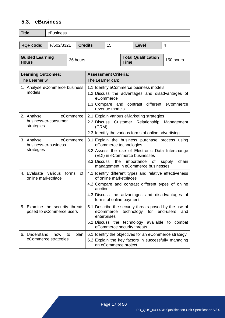# <span id="page-17-0"></span>**5.3. eBusiness**

| Title:    | eBusiness  |                |    |       |  |  |  |
|-----------|------------|----------------|----|-------|--|--|--|
|           |            |                |    |       |  |  |  |
| RQF code: | F/502/8321 | <b>Credits</b> | 15 | Level |  |  |  |

| <b>Guided Learning</b><br><b>Hours</b> | 36 hours | <b>Total Qualification</b><br><b>Time</b> | 150 hours |
|----------------------------------------|----------|-------------------------------------------|-----------|
|----------------------------------------|----------|-------------------------------------------|-----------|

| <b>Learning Outcomes;</b>                                     | <b>Assessment Criteria;</b>                                                                                                                                                                                                                                     |  |  |  |
|---------------------------------------------------------------|-----------------------------------------------------------------------------------------------------------------------------------------------------------------------------------------------------------------------------------------------------------------|--|--|--|
| The Learner will:                                             | The Learner can:                                                                                                                                                                                                                                                |  |  |  |
| 1. Analyse eCommerce business<br>models                       | 1.1 Identify eCommerce business models<br>1.2 Discuss the advantages and disadvantages of<br>eCommerce<br>1.3 Compare and contrast<br>different eCommerce<br>revenue models                                                                                     |  |  |  |
| eCommerce<br>2. Analyse<br>business-to-consumer<br>strategies | 2.1 Explain various eMarketing strategies<br>Customer Relationship Management<br>2.2 Discuss<br>(CRM)<br>2.3 Identify the various forms of online advertising                                                                                                   |  |  |  |
| eCommerce<br>3. Analyse<br>business-to-business<br>strategies | 3.1 Explain the business purchase process using<br>eCommerce technologies<br>3.2 Assess the use of Electronic Data Interchange<br>(EDI) in eCommerce businesses<br>the<br>importance of<br>3.3 Discuss<br>supply<br>chain<br>management in eCommerce businesses |  |  |  |
| 4. Evaluate various<br>forms<br>of<br>online marketplace      | 4.1 Identify different types and relative effectiveness<br>of online marketplaces<br>4.2 Compare and contrast different types of online<br>auction<br>4.3 Discuss the advantages and disadvantages of<br>forms of online payment                                |  |  |  |
| 5. Examine the security threats<br>posed to eCommerce users   | 5.1 Describe the security threats posed by the use of<br>eCommerce<br>technology for<br>end-users<br>and<br>enterprises<br>5.2 Discuss the technology available to combat<br>eCommerce security threats                                                         |  |  |  |
| 6. Understand<br>how<br>plan<br>to<br>eCommerce strategies    | 6.1 Identify the objectives for an eCommerce strategy<br>6.2 Explain the key factors in successfully managing<br>an eCommerce project                                                                                                                           |  |  |  |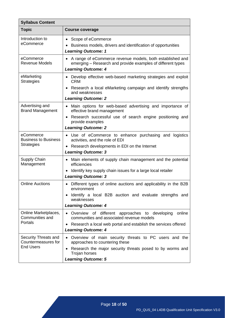| <b>Syllabus Content</b>                            |                                                                                                                                                                          |  |  |  |  |
|----------------------------------------------------|--------------------------------------------------------------------------------------------------------------------------------------------------------------------------|--|--|--|--|
| <b>Topic</b>                                       | <b>Course coverage</b>                                                                                                                                                   |  |  |  |  |
| Introduction to<br>eCommerce                       | Scope of eCommerce<br>$\bullet$<br>Business models, drivers and identification of opportunities<br><b>Learning Outcome: 1</b>                                            |  |  |  |  |
| eCommerce<br><b>Revenue Models</b>                 | A range of eCommerce revenue models, both established and<br>emerging – Research and provide examples of different types<br><b>Learning Outcome: 4</b>                   |  |  |  |  |
| eMarketing<br><b>Strategies</b>                    | Develop effective web-based marketing strategies and exploit<br>$\bullet$<br><b>CRM</b><br>Research a local eMarketing campaign and identify strengths<br>and weaknesses |  |  |  |  |
|                                                    | <b>Learning Outcome: 2</b>                                                                                                                                               |  |  |  |  |
| Advertising and<br><b>Brand Management</b>         | Main options for web-based advertising and importance of<br>$\bullet$<br>effective brand management                                                                      |  |  |  |  |
|                                                    | Research successful use of search engine positioning and<br>$\bullet$<br>provide examples                                                                                |  |  |  |  |
|                                                    | <b>Learning Outcome: 2</b>                                                                                                                                               |  |  |  |  |
| eCommerce<br><b>Business to Business</b>           | Use of eCommerce to enhance purchasing and logistics<br>activities, and the role of EDI                                                                                  |  |  |  |  |
| <b>Strategies</b>                                  | Research developments in EDI on the Internet<br><b>Learning Outcome: 3</b>                                                                                               |  |  |  |  |
| Supply Chain<br>Management                         | Main elements of supply chain management and the potential<br>٠<br>efficiencies                                                                                          |  |  |  |  |
|                                                    | Identify key supply chain issues for a large local retailer<br><b>Learning Outcome: 3</b>                                                                                |  |  |  |  |
| <b>Online Auctions</b>                             | Different types of online auctions and applicability in the B2B<br>$\bullet$<br>environment                                                                              |  |  |  |  |
|                                                    | Identify a local B2B auction and evaluate strengths and<br>weaknesses                                                                                                    |  |  |  |  |
|                                                    | <b>Learning Outcome: 4</b>                                                                                                                                               |  |  |  |  |
| Online Marketplaces,<br>Communities and<br>Portals | • Overview of different<br>online<br>approaches to developing<br>communities and associated revenue models                                                               |  |  |  |  |
|                                                    | Research a local web portal and establish the services offered<br>$\bullet$                                                                                              |  |  |  |  |
|                                                    | <b>Learning Outcome: 4</b>                                                                                                                                               |  |  |  |  |
| Security Threats and<br>Countermeasures for        | Overview of main security threats to PC users and the<br>$\bullet$<br>approaches to countering these                                                                     |  |  |  |  |
| <b>End Users</b>                                   | Research the major security threats posed to by worms and<br>$\bullet$<br>Trojan horses                                                                                  |  |  |  |  |
|                                                    | <b>Learning Outcome: 5</b>                                                                                                                                               |  |  |  |  |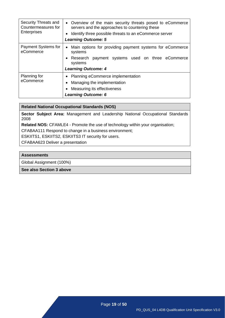| Security Threats and<br>Countermeasures for<br><b>Enterprises</b> | • Overview of the main security threats posed to eCommerce<br>servers and the approaches to countering these<br>Identify three possible threats to an eCommerce server<br><b>Learning Outcome: 5</b> |  |  |  |  |  |
|-------------------------------------------------------------------|------------------------------------------------------------------------------------------------------------------------------------------------------------------------------------------------------|--|--|--|--|--|
| Payment Systems for<br>eCommerce                                  | Main options for providing payment systems for eCommerce<br>$\bullet$<br>systems<br>Research payment systems used on three eCommerce<br>systems<br><b>Learning Outcome: 4</b>                        |  |  |  |  |  |
| Planning for<br>eCommerce                                         | • Planning eCommerce implementation<br>Managing the implementation<br>Measuring its effectiveness<br><b>Learning Outcome: 6</b>                                                                      |  |  |  |  |  |

**Sector Subject Area:** Management and Leadership National Occupational Standards 2008

**Related NOS:** CFAMLE4 - Promote the use of technology within your organisation;

CFABAA111 Respond to change in a business environment;

ESKIITS1, ESKIITS2, ESKIITS3 IT security for users.

CFABAA623 [Deliver a presentation](http://www.cfa.uk.com/images/standards_1_ba/BAA623%20Deliver%20a%20presentation.pdf)

#### **Assessments**

Global Assignment (100%)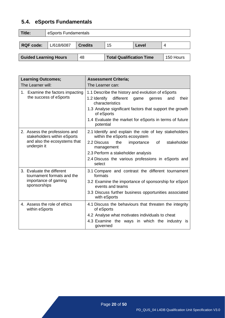# <span id="page-20-0"></span>**5.4. eSports Fundamentals**

| Title:                                                                             | eSports Fundamentals |  |  |  |  |  |  |
|------------------------------------------------------------------------------------|----------------------|--|--|--|--|--|--|
| L/618/6087<br><b>Credits</b><br><b>RQF code:</b><br>15<br>Level<br>4               |                      |  |  |  |  |  |  |
|                                                                                    |                      |  |  |  |  |  |  |
| <b>Guided Learning Hours</b><br><b>Total Qualification Time</b><br>48<br>150 Hours |                      |  |  |  |  |  |  |

| <b>Learning Outcomes;</b>                                                                                   | <b>Assessment Criteria;</b>                                                                                                                                                                                                                                        |  |  |  |  |  |
|-------------------------------------------------------------------------------------------------------------|--------------------------------------------------------------------------------------------------------------------------------------------------------------------------------------------------------------------------------------------------------------------|--|--|--|--|--|
| The Learner will:                                                                                           | The Learner can:                                                                                                                                                                                                                                                   |  |  |  |  |  |
| 1. Examine the factors impacting<br>the success of eSports                                                  | 1.1 Describe the history and evolution of eSports<br>1.2 Identify different<br>their<br>and<br>game<br>genres<br>characteristics<br>1.3 Analyse significant factors that support the growth                                                                        |  |  |  |  |  |
|                                                                                                             | of eSports<br>1.4 Evaluate the market for eSports in terms of future<br>potential                                                                                                                                                                                  |  |  |  |  |  |
| 2. Assess the professions and<br>stakeholders within eSports<br>and also the ecosystems that<br>underpin it | 2.1 Identify and explain the role of key stakeholders<br>within the eSports ecosystem<br>2.2 Discuss<br>stakeholder<br>the<br>of<br>importance<br>management<br>2.3 Perform a stakeholder analysis<br>2.4 Discuss the various professions in eSports and<br>select |  |  |  |  |  |
| 3. Evaluate the different<br>tournament formats and the<br>importance of gaming<br>sponsorships             | 3.1 Compare and contrast the different tournament<br>formats<br>3.2 Examine the importance of sponsorship for eSport<br>events and teams<br>3.3 Discuss further business opportunities associated<br>with eSports                                                  |  |  |  |  |  |
| 4. Assess the role of ethics<br>within eSports                                                              | 4.1 Discuss the behaviours that threaten the integrity<br>of eSports<br>4.2 Analyse what motivates individuals to cheat<br>4.3 Examine the ways in which the industry is<br>governed                                                                               |  |  |  |  |  |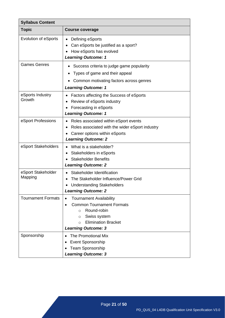| <b>Syllabus Content</b>       |                                                                                                                                                                                                                          |
|-------------------------------|--------------------------------------------------------------------------------------------------------------------------------------------------------------------------------------------------------------------------|
| <b>Topic</b>                  | <b>Course coverage</b>                                                                                                                                                                                                   |
| <b>Evolution of eSports</b>   | Defining eSports<br>Can eSports be justified as a sport?<br>How eSports has evolved<br><b>Learning Outcome: 1</b>                                                                                                        |
| <b>Games Genres</b>           | Success criteria to judge game popularity<br>Types of game and their appeal<br>Common motivating factors across genres<br><b>Learning Outcome: 1</b>                                                                     |
| eSports Industry<br>Growth    | Factors affecting the Success of eSports<br>Review of eSports industry<br>Forecasting in eSports<br><b>Learning Outcome: 1</b>                                                                                           |
| eSport Professions            | Roles associated within eSport events<br>Roles associated with the wider eSport industry<br>Career options within eSports<br><b>Learning Outcome: 2</b>                                                                  |
| eSport Stakeholders           | What is a stakeholder?<br>$\bullet$<br>Stakeholders in eSports<br><b>Stakeholder Benefits</b><br><b>Learning Outcome: 2</b>                                                                                              |
| eSport Stakeholder<br>Mapping | Stakeholder Identification<br>The Stakeholder Influence/Power Grid<br><b>Understanding Stakeholders</b><br><b>Learning Outcome: 2</b>                                                                                    |
| <b>Tournament Formats</b>     | <b>Tournament Availability</b><br>$\bullet$<br><b>Common Tournament Formats</b><br>$\bullet$<br>Round-robin<br>$\circ$<br>Swiss system<br>$\circ$<br><b>Elimination Bracket</b><br>$\circ$<br><b>Learning Outcome: 3</b> |
| Sponsorship                   | The Promotional Mix<br>Event Sponsorship<br><b>Team Sponsorship</b><br><b>Learning Outcome: 3</b>                                                                                                                        |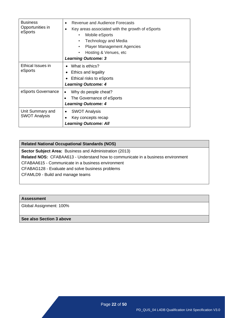| <b>Business</b><br>Opportunities in<br>eSports | Revenue and Audience Forecasts<br>$\bullet$<br>Key areas associated with the growth of eSports<br>Mobile eSports<br>$\bullet$<br><b>Technology and Media</b><br>$\bullet$<br><b>Player Management Agencies</b><br>$\bullet$<br>Hosting & Venues, etc.<br>$\bullet$<br><b>Learning Outcome: 3</b> |  |  |  |
|------------------------------------------------|--------------------------------------------------------------------------------------------------------------------------------------------------------------------------------------------------------------------------------------------------------------------------------------------------|--|--|--|
| Ethical Issues in<br>eSports                   | What is ethics?<br>Ethics and legality<br>Ethical risks to eSports<br><b>Learning Outcome: 4</b>                                                                                                                                                                                                 |  |  |  |
| eSports Governance                             | Why do people cheat?<br>The Governance of eSports<br><b>Learning Outcome: 4</b>                                                                                                                                                                                                                  |  |  |  |
| Unit Summary and<br><b>SWOT Analysis</b>       | <b>SWOT Analysis</b><br>$\bullet$<br>Key concepts recap<br>$\bullet$<br><b>Learning Outcome: All</b>                                                                                                                                                                                             |  |  |  |

**Sector Subject Area:** Business and Administration (2013)

**Related NOS:** CFABAA613 - Understand how to communicate in a business environment

CFABAA615 - Communicate in a business environment

CFABAG128 - Evaluate and solve business problems

CFAMLD9 - Build and manage teams

#### **Assessment**

Global Assignment: 100%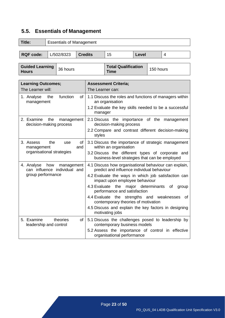# <span id="page-23-0"></span>**5.5. Essentials of Management**

| Title:                                                                            | <b>Essentials of Management</b>                      |            |                |                                                                                                                                         |                                                                                                                                                                                                                                                                                                                                                                                                    |              |                    |                   |  |
|-----------------------------------------------------------------------------------|------------------------------------------------------|------------|----------------|-----------------------------------------------------------------------------------------------------------------------------------------|----------------------------------------------------------------------------------------------------------------------------------------------------------------------------------------------------------------------------------------------------------------------------------------------------------------------------------------------------------------------------------------------------|--------------|--------------------|-------------------|--|
| <b>RQF code:</b>                                                                  |                                                      | L/502/8323 | <b>Credits</b> |                                                                                                                                         | 15                                                                                                                                                                                                                                                                                                                                                                                                 | <b>Level</b> |                    | 4                 |  |
|                                                                                   |                                                      |            |                |                                                                                                                                         |                                                                                                                                                                                                                                                                                                                                                                                                    |              |                    |                   |  |
| <b>Guided Learning</b><br><b>Hours</b>                                            |                                                      | 36 hours   |                |                                                                                                                                         | <b>Total Qualification</b><br>150 hours<br><b>Time</b>                                                                                                                                                                                                                                                                                                                                             |              |                    |                   |  |
| <b>Learning Outcomes;</b><br>The Learner will:                                    |                                                      |            |                |                                                                                                                                         | <b>Assessment Criteria;</b><br>The Learner can:                                                                                                                                                                                                                                                                                                                                                    |              |                    |                   |  |
| function<br>1. Analyse<br>the<br>of<br>management                                 |                                                      |            |                | manager                                                                                                                                 | 1.1 Discuss the roles and functions of managers within<br>an organisation<br>1.2 Evaluate the key skills needed to be a successful                                                                                                                                                                                                                                                                 |              |                    |                   |  |
| 2. Examine<br>the<br>management<br>decision-making process                        |                                                      |            |                | 2.1 Discuss the importance of the management<br>decision-making process<br>2.2 Compare and contrast different decision-making<br>styles |                                                                                                                                                                                                                                                                                                                                                                                                    |              |                    |                   |  |
| 3. Assess<br>management                                                           | the<br>use<br>οf<br>and<br>organisational strategies |            |                |                                                                                                                                         | 3.1 Discuss the importance of strategic management<br>within an organisation<br>3.2 Discuss the different types of corporate and<br>business-level strategies that can be employed                                                                                                                                                                                                                 |              |                    |                   |  |
| 4. Analyse how<br>management<br>can influence individual and<br>group performance |                                                      |            |                | 4.3 Evaluate                                                                                                                            | 4.1 Discuss how organisational behaviour can explain,<br>predict and influence individual behaviour<br>4.2 Evaluate the ways in which job satisfaction can<br>impact upon employee behaviour<br>the<br>performance and satisfaction<br>4.4 Evaluate the strengths and weaknesses<br>contemporary theories of motivation<br>4.5 Discuss and explain the key factors in designing<br>motivating jobs |              | major determinants | of<br>group<br>0f |  |
| 5. Examine<br>leadership and control                                              |                                                      | theories   | of             |                                                                                                                                         | 5.1 Discuss the challenges posed to leadership by<br>contemporary business models<br>5.2 Assess the importance of control in effective<br>organisational performance                                                                                                                                                                                                                               |              |                    |                   |  |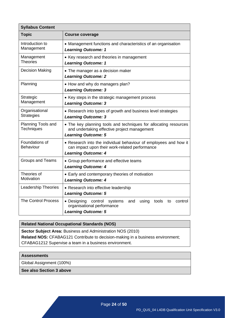| <b>Syllabus Content</b>                 |                                                                                                                                                  |  |
|-----------------------------------------|--------------------------------------------------------------------------------------------------------------------------------------------------|--|
| <b>Topic</b>                            | <b>Course coverage</b>                                                                                                                           |  |
| Introduction to<br>Management           | • Management functions and characteristics of an organisation<br><b>Learning Outcome: 1</b>                                                      |  |
| Management<br><b>Theories</b>           | • Key research and theories in management<br><b>Learning Outcome: 1</b>                                                                          |  |
| <b>Decision Making</b>                  | • The manager as a decision maker<br><b>Learning Outcome: 2</b>                                                                                  |  |
| Planning                                | • How and why do managers plan?<br><b>Learning Outcome: 3</b>                                                                                    |  |
| Strategic<br>Management                 | • Key steps in the strategic management process<br><b>Learning Outcome: 3</b>                                                                    |  |
| Organisational<br><b>Strategies</b>     | • Research into types of growth and business level strategies<br><b>Learning Outcome: 3</b>                                                      |  |
| Planning Tools and<br><b>Techniques</b> | • The key planning tools and techniques for allocating resources<br>and undertaking effective project management<br><b>Learning Outcome: 5</b>   |  |
| Foundations of<br>Behaviour             | • Research into the individual behaviour of employees and how it<br>can impact upon their work-related performance<br><b>Learning Outcome: 4</b> |  |
| <b>Groups and Teams</b>                 | • Group performance and effective teams<br><b>Learning Outcome: 4</b>                                                                            |  |
| Theories of<br>Motivation               | • Early and contemporary theories of motivation<br><b>Learning Outcome: 4</b>                                                                    |  |
| <b>Leadership Theories</b>              | • Research into effective leadership<br><b>Learning Outcome: 5</b>                                                                               |  |
| <b>The Control Process</b>              | • Designing<br>control<br>systems<br>and<br>using<br>tools<br>control<br>to<br>organisational performance<br><b>Learning Outcome: 5</b>          |  |
|                                         |                                                                                                                                                  |  |

**Sector Subject Area:** Business and Administration NOS (2010) **Related NOS:** CFABAG121 Contribute to decision-making in a business environment; CFABAG1212 Supervise a team in a business environment.

#### **Assessments**

Global Assignment (100%)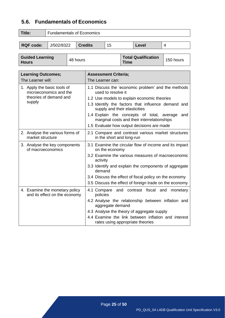# <span id="page-25-0"></span>**5.6. Fundamentals of Economics**

| Title:           | <b>Fundamentals of Economics</b> |                |    |       |  |
|------------------|----------------------------------|----------------|----|-------|--|
| <b>RQF code:</b> | J/502/8322                       | <b>Credits</b> | 15 | Level |  |
|                  |                                  |                |    |       |  |

| <b>Guided Learning</b> | 48 hours | <b>Total Qualification</b> | $\blacksquare$ 150 hours |
|------------------------|----------|----------------------------|--------------------------|
| <b>Hours</b>           |          | Time                       |                          |

| <b>Learning Outcomes;</b>                                       | <b>Assessment Criteria;</b>                                                                                                                    |
|-----------------------------------------------------------------|------------------------------------------------------------------------------------------------------------------------------------------------|
| The Learner will:                                               | The Learner can:                                                                                                                               |
| 1. Apply the basic tools of<br>microeconomics and the           | 1.1 Discuss the 'economic problem' and the methods<br>used to resolve it                                                                       |
| theories of demand and                                          | 1.2 Use models to explain economic theories                                                                                                    |
| supply                                                          | 1.3 Identify the factors that influence demand and<br>supply and their elasticities                                                            |
|                                                                 | 1.4 Explain the concepts of total, average<br>and<br>marginal costs and their interrelationships<br>1.5 Evaluate how output decisions are made |
|                                                                 |                                                                                                                                                |
| 2. Analyse the various forms of<br>market structure             | 2.1 Compare and contrast various market structures<br>in the short and long-run                                                                |
| 3. Analyse the key components<br>of macroeconomics              | 3.1 Examine the circular flow of income and its impact<br>on the economy                                                                       |
|                                                                 | 3.2 Examine the various measures of macroeconomic<br>activity                                                                                  |
|                                                                 | 3.3 Identify and explain the components of aggregate<br>demand                                                                                 |
|                                                                 | 3.4 Discuss the effect of fiscal policy on the economy                                                                                         |
|                                                                 | 3.5 Discuss the effect of foreign trade on the economy                                                                                         |
| 4. Examine the monetary policy<br>and its effect on the economy | 4.1 Compare<br>and contrast fiscal<br>and<br>monetary<br>policies                                                                              |
|                                                                 | 4.2 Analyse the relationship between inflation and<br>aggregate demand                                                                         |
|                                                                 | 4.3 Analyse the theory of aggregate supply                                                                                                     |
|                                                                 | 4.4 Examine the link between inflation and interest<br>rates using appropriate theories                                                        |

Page **25** of **50**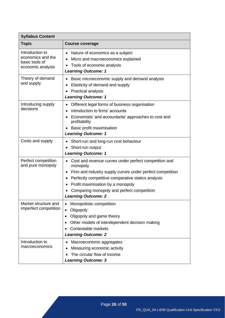| <b>Syllabus Content</b>                                                     |                                                                                                                                                                                                                                                                                                       |  |
|-----------------------------------------------------------------------------|-------------------------------------------------------------------------------------------------------------------------------------------------------------------------------------------------------------------------------------------------------------------------------------------------------|--|
| <b>Topic</b>                                                                | <b>Course coverage</b>                                                                                                                                                                                                                                                                                |  |
| Introduction to<br>economics and the<br>basic tools of<br>economic analysis | Nature of economics as a subject<br>$\bullet$<br>Micro and macroeconomics explained<br>Tools of economic analysis<br>$\bullet$<br><b>Learning Outcome: 1</b>                                                                                                                                          |  |
| Theory of demand<br>and supply                                              | Basic microeconomic supply and demand analysis<br>Elasticity of demand and supply<br><b>Practical analysis</b><br><b>Learning Outcome: 1</b>                                                                                                                                                          |  |
| Introducing supply<br>decisions                                             | Different legal forms of business organisation<br>Introduction to firms' accounts<br>Economists' and accountants' approaches to cost and<br>profitability<br>Basic profit maximisation<br><b>Learning Outcome: 1</b>                                                                                  |  |
| Costs and supply                                                            | Short-run and long-run cost behaviour<br>Short-run output<br><b>Learning Outcome: 1</b>                                                                                                                                                                                                               |  |
| Perfect competition<br>and pure monopoly                                    | Cost and revenue curves under perfect competition and<br>monopoly<br>Firm and industry supply curves under perfect competition<br>Perfectly competitive comparative statics analysis<br>Profit maximisation by a monopoly<br>Comparing monopoly and perfect competition<br><b>Learning Outcome: 2</b> |  |
| Market structure and<br>imperfect competition                               | Monopolistic competition<br>٠<br>Oligopoly<br>$\bullet$<br>Oligopoly and game theory<br>٠<br>Other models of interdependent decision making<br>Contestable markets<br><b>Learning Outcome: 2</b>                                                                                                      |  |
| Introduction to<br>macroeconomics                                           | Macroeconomic aggregates<br>Measuring economic activity<br>The circular flow of income<br><b>Learning Outcome: 3</b>                                                                                                                                                                                  |  |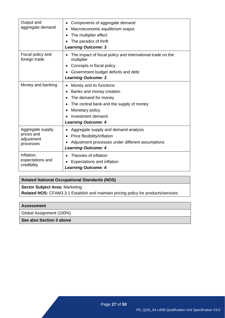| Output and<br>aggregate demand                             | Components of aggregate demand<br>Macroeconomic equilibrium output<br>The multiplier effect<br>The paradox of thrift                                                                          |
|------------------------------------------------------------|-----------------------------------------------------------------------------------------------------------------------------------------------------------------------------------------------|
|                                                            | <b>Learning Outcome: 3</b>                                                                                                                                                                    |
| Fiscal policy and<br>foreign trade                         | The impact of fiscal policy and international trade on the<br>multiplier                                                                                                                      |
|                                                            | Concepts in fiscal policy                                                                                                                                                                     |
|                                                            | Government budget deficits and debt                                                                                                                                                           |
|                                                            | <b>Learning Outcome: 3</b>                                                                                                                                                                    |
| Money and banking                                          | Money and its functions<br>Banks and money creation<br>The demand for money<br>The central bank and the supply of money<br>Monetary policy<br>Investment demand<br><b>Learning Outcome: 4</b> |
| Aggregate supply,<br>prices and<br>adjustment<br>processes | Aggregate supply and demand analysis<br>Price flexibility/inflation<br>Adjustment processes under different assumptions<br><b>Learning Outcome: 4</b>                                         |
| Inflation,<br>expectations and<br>credibility              | Theories of inflation<br>Expectations and inflation<br><b>Learning Outcome: 4</b>                                                                                                             |

**Sector Subject Area:** Marketing

**Related NOS:** CFAM3.3.1 [Establish and maintain pricing policy for products/services](http://www.cfa.uk.com/images/standards_marketing_sales/standards_marketing/MKT331%20Establish%20and%20maintain%20pricing%20policy%20for%20products_services.pdf)

#### **Assessment**

Global Assignment (100%)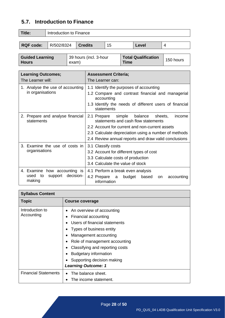# <span id="page-28-0"></span>**5.7. Introduction to Finance**

| Title:           | Introduction to Finance |         |    |       |  |
|------------------|-------------------------|---------|----|-------|--|
|                  |                         |         |    |       |  |
| <b>RQF code:</b> | R/502/8324              | Credits | 15 | Level |  |
|                  |                         |         |    |       |  |

| <b>Guided Learning</b> | 39 hours (incl. 3-hour | <b>Total Qualification</b> | $\blacksquare$ 150 hours |
|------------------------|------------------------|----------------------------|--------------------------|
| <b>Hours</b>           | exam)                  | <b>Time</b>                |                          |

| The Learner will:<br>The Learner can:<br>1. Analyse the use of accounting<br>1.1 Identify the purposes of accounting<br>in organisations<br>accounting<br>statements<br>2. Prepare and analyse financial<br>simple<br>balance<br>2.1 Prepare<br>sheets,<br>statements and cash flow statements<br>statements<br>2.2 Account for current and non-current assets<br>3. Examine the use of costs in<br>3.1 Classify costs<br>organisations<br>3.2 Account for different types of cost<br>3.3 Calculate costs of production<br>3.4 Calculate the value of stock | <b>Learning Outcomes;</b> | <b>Assessment Criteria;</b>                            |
|-------------------------------------------------------------------------------------------------------------------------------------------------------------------------------------------------------------------------------------------------------------------------------------------------------------------------------------------------------------------------------------------------------------------------------------------------------------------------------------------------------------------------------------------------------------|---------------------------|--------------------------------------------------------|
|                                                                                                                                                                                                                                                                                                                                                                                                                                                                                                                                                             |                           |                                                        |
|                                                                                                                                                                                                                                                                                                                                                                                                                                                                                                                                                             |                           |                                                        |
|                                                                                                                                                                                                                                                                                                                                                                                                                                                                                                                                                             |                           | 1.2 Compare and contrast financial and managerial      |
|                                                                                                                                                                                                                                                                                                                                                                                                                                                                                                                                                             |                           | 1.3 Identify the needs of different users of financial |
|                                                                                                                                                                                                                                                                                                                                                                                                                                                                                                                                                             |                           | income                                                 |
|                                                                                                                                                                                                                                                                                                                                                                                                                                                                                                                                                             |                           |                                                        |
|                                                                                                                                                                                                                                                                                                                                                                                                                                                                                                                                                             |                           | 2.3 Calculate depreciation using a number of methods   |
|                                                                                                                                                                                                                                                                                                                                                                                                                                                                                                                                                             |                           | 2.4 Review annual reports and draw valid conclusions   |
|                                                                                                                                                                                                                                                                                                                                                                                                                                                                                                                                                             |                           |                                                        |
|                                                                                                                                                                                                                                                                                                                                                                                                                                                                                                                                                             |                           |                                                        |
|                                                                                                                                                                                                                                                                                                                                                                                                                                                                                                                                                             |                           |                                                        |
|                                                                                                                                                                                                                                                                                                                                                                                                                                                                                                                                                             |                           |                                                        |
| 4. Examine how accounting is<br>4.1 Perform a break even analysis<br>decision-<br>used<br>to<br>support<br>4.2 Prepare a<br>budget<br>based<br>on.<br>making<br>information                                                                                                                                                                                                                                                                                                                                                                                 |                           | accounting                                             |

| <b>Syllabus Content</b>       |                                                                                                                                                              |
|-------------------------------|--------------------------------------------------------------------------------------------------------------------------------------------------------------|
| <b>Topic</b>                  | Course coverage                                                                                                                                              |
| Introduction to<br>Accounting | An overview of accounting<br>Financial accounting<br>Users of financial statements<br>Types of business entity<br>Management accounting                      |
|                               | Role of management accounting<br>Classifying and reporting costs<br><b>Budgetary information</b><br>Supporting decision making<br><b>Learning Outcome: 1</b> |
| <b>Financial Statements</b>   | The balance sheet.<br>The income statement.                                                                                                                  |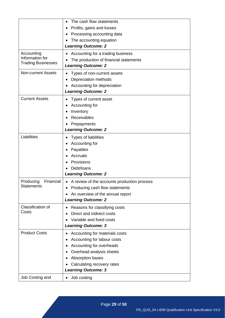|                           | The cash flow statements                    |
|---------------------------|---------------------------------------------|
|                           | Profits, gains and losses                   |
|                           | Processing accounting data                  |
|                           | The accounting equation                     |
|                           | <b>Learning Outcome: 2</b>                  |
| Accounting                | Accounting for a trading business           |
| Information for           | The production of financial statements      |
| <b>Trading Businesses</b> | <b>Learning Outcome: 2</b>                  |
|                           |                                             |
| <b>Non-current Assets</b> | Types of non-current assets                 |
|                           | Depreciation methods                        |
|                           | Accounting for depreciation                 |
|                           | <b>Learning Outcome: 2</b>                  |
| <b>Current Assets</b>     | Types of current asset                      |
|                           | Accounting for                              |
|                           | Inventory                                   |
|                           | Receivables                                 |
|                           | Prepayments                                 |
|                           | <b>Learning Outcome: 2</b>                  |
| Liabilities               | Types of liabilities                        |
|                           | Accounting for                              |
|                           | Payables                                    |
|                           | <b>Accruals</b>                             |
|                           | Provisions                                  |
|                           | Debt/loans                                  |
|                           | <b>Learning Outcome: 2</b>                  |
| Financial<br>Producing    | A review of the accounts production process |
| <b>Statements</b>         | Producing cash flow statements              |
|                           | An overview of the annual report            |
|                           | <b>Learning Outcome: 2</b>                  |
| Classification of         | Reasons for classifying costs<br>$\bullet$  |
| Costs                     | Direct and indirect costs                   |
|                           | Variable and fixed costs                    |
|                           | <b>Learning Outcome: 3</b>                  |
|                           |                                             |
| <b>Product Costs</b>      | Accounting for materials costs              |
|                           | Accounting for labour costs<br>٠            |
|                           | Accounting for overheads                    |
|                           | Overhead analysis sheets                    |
|                           | Absorption bases                            |
|                           | Calculating recovery rates                  |
|                           | <b>Learning Outcome: 3</b>                  |
| Job Costing and           | Job costing<br>$\bullet$                    |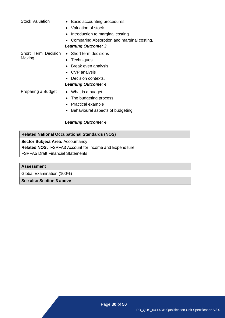| <b>Stock Valuation</b>               | Basic accounting procedures<br>$\bullet$<br>Valuation of stock<br>Introduction to marginal costing<br>Comparing Absorption and marginal costing.<br><b>Learning Outcome: 3</b> |
|--------------------------------------|--------------------------------------------------------------------------------------------------------------------------------------------------------------------------------|
| <b>Short Term Decision</b><br>Making | Short term decisions<br>Techniques<br>Break even analysis<br><b>CVP</b> analysis<br>Decision contexts.<br><b>Learning Outcome: 4</b>                                           |
| Preparing a Budget                   | What is a budget<br>The budgeting process<br>Practical example<br>Behavioural aspects of budgeting<br><b>Learning Outcome: 4</b>                                               |

**Sector Subject Area: Accountancy** 

**Related NOS:** FSPFA3 [Account for Income](http://www.cfa.uk.com/images/standards_1_ba/BAA521%20Account%20for%20Income%20and%20Expenditure.pdf) and Expenditure

FSPFA5 [Draft Financial Statements](http://www.cfa.uk.com/images/standards_1_ba/BAA522%20Draft%20Financial%20Statements.pdf)

#### **Assessment**

Global Examination (100%)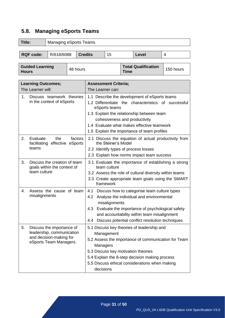# <span id="page-31-0"></span>**5.8. Managing eSports Teams**

| Title:<br><b>Managing eSports Teams</b>                                           |                                                                                                             |  |  |                                                                                                                                                                                                                                                                                                  |                                                                                                                                                                  |                             |           |       |   |
|-----------------------------------------------------------------------------------|-------------------------------------------------------------------------------------------------------------|--|--|--------------------------------------------------------------------------------------------------------------------------------------------------------------------------------------------------------------------------------------------------------------------------------------------------|------------------------------------------------------------------------------------------------------------------------------------------------------------------|-----------------------------|-----------|-------|---|
|                                                                                   |                                                                                                             |  |  | <b>Credits</b>                                                                                                                                                                                                                                                                                   | 15                                                                                                                                                               |                             |           | Level | 4 |
| <b>RQF code:</b><br>R/618/6088                                                    |                                                                                                             |  |  |                                                                                                                                                                                                                                                                                                  |                                                                                                                                                                  |                             |           |       |   |
| <b>Guided Learning</b><br>48 hours<br><b>Hours</b>                                |                                                                                                             |  |  | <b>Time</b>                                                                                                                                                                                                                                                                                      |                                                                                                                                                                  | <b>Total Qualification</b>  | 150 hours |       |   |
| <b>Learning Outcomes;</b><br>The Learner will:                                    |                                                                                                             |  |  |                                                                                                                                                                                                                                                                                                  | The Learner can:                                                                                                                                                 | <b>Assessment Criteria;</b> |           |       |   |
| 1.<br>Discuss teamwork theories<br>in the context of eSports                      |                                                                                                             |  |  | 1.1 Describe the development of eSports teams<br>1.2 Differentiate the characteristics of successful<br>eSports teams<br>1.3 Explain the relationship between team<br>cohesiveness and productivity<br>1.4 Evaluate what makes effective teamwork<br>1.5 Explain the importance of team profiles |                                                                                                                                                                  |                             |           |       |   |
| 2.                                                                                | the<br>Evaluate<br>factors<br>facilitating effective eSports<br>teams                                       |  |  |                                                                                                                                                                                                                                                                                                  | 2.1 Discuss the equation of actual productivity from<br>the Steiner's Model<br>2.2 Identify types of process losses<br>2.3 Explain how norms impact team success |                             |           |       |   |
| 3.<br>Discuss the creation of team<br>goals within the context of<br>team culture |                                                                                                             |  |  | 3.1 Evaluate the importance of establishing a strong<br>team culture<br>3.2 Assess the role of cultural diversity within teams<br>3.3 Create appropriate team goals using the SMART<br>framework                                                                                                 |                                                                                                                                                                  |                             |           |       |   |
| 4.                                                                                | Assess the cause of team<br>misalignments                                                                   |  |  | Discuss how to categorise team culture types<br>4.1<br>4.2 Analyse the individual and environmental<br>misalignments<br>4.3 Evaluate the importance of psychological safety<br>and accountability within team misalignment<br>Discuss potential conflict resolution techniques<br>4.4            |                                                                                                                                                                  |                             |           |       |   |
| 5.                                                                                | Discuss the importance of<br>leadership, communication<br>and decision-making for<br>eSports Team Managers. |  |  | 5.1 Discuss key theories of leadership and<br>Management<br>5.2 Assess the importance of communication for Team<br>Managers<br>5.3 Discuss key motivation theories<br>5.4 Explain the 8-step decision making process<br>5.5 Discuss ethical considerations when making<br>decisions              |                                                                                                                                                                  |                             |           |       |   |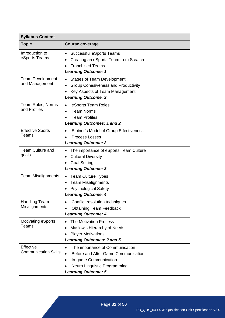| <b>Syllabus Content</b>                   |                                                                                                                                                                                                      |  |  |  |  |
|-------------------------------------------|------------------------------------------------------------------------------------------------------------------------------------------------------------------------------------------------------|--|--|--|--|
| <b>Topic</b>                              | <b>Course coverage</b>                                                                                                                                                                               |  |  |  |  |
| Introduction to<br>eSports Teams          | Successful eSports Teams<br>٠<br>Creating an eSports Team from Scratch<br><b>Franchised Teams</b><br>$\bullet$<br><b>Learning Outcome: 1</b>                                                         |  |  |  |  |
| <b>Team Development</b><br>and Management | <b>Stages of Team Development</b><br>٠<br><b>Group Cohesiveness and Productivity</b><br>$\bullet$<br>Key Aspects of Team Management<br><b>Learning Outcome: 2</b>                                    |  |  |  |  |
| Team Roles, Norms<br>and Profiles         | eSports Team Roles<br>٠<br><b>Team Norms</b><br>$\bullet$<br><b>Team Profiles</b><br><b>Learning Outcomes: 1 and 2</b>                                                                               |  |  |  |  |
| <b>Effective Sports</b><br>Teams          | Steiner's Model of Group Effectiveness<br>$\bullet$<br><b>Process Losses</b><br><b>Learning Outcome: 2</b>                                                                                           |  |  |  |  |
| <b>Team Culture and</b><br>goals          | The importance of eSports Team Culture<br><b>Cultural Diversity</b><br>٠<br><b>Goal Setting</b><br><b>Learning Outcome: 3</b>                                                                        |  |  |  |  |
| <b>Team Misalignments</b>                 | <b>Team Culture Types</b><br>٠<br><b>Team Misalignments</b><br>٠<br><b>Psychological Safety</b><br><b>Learning Outcome: 4</b>                                                                        |  |  |  |  |
| <b>Handling Team</b><br>Misalignments     | Conflict resolution techniques<br><b>Obtaining Team Feedback</b><br>$\bullet$<br><b>Learning Outcome: 4</b>                                                                                          |  |  |  |  |
| <b>Motivating eSports</b><br>Teams        | <b>The Motivation Process</b><br>$\bullet$<br>Maslow's Hierarchy of Needs<br>$\bullet$<br><b>Player Motivations</b><br><b>Learning Outcomes: 2 and 5</b>                                             |  |  |  |  |
| Effective<br><b>Communication Skills</b>  | The importance of Communication<br>$\bullet$<br>Before and After Game Communication<br>$\bullet$<br>In-game Communication<br>$\bullet$<br>Neuro Linguistic Programming<br><b>Learning Outcome: 5</b> |  |  |  |  |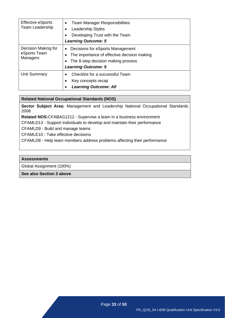| <b>Effective eSports</b><br>Team Leadership     | <b>Team Manager Responsibilities</b><br>$\bullet$<br>Leadership Styles<br>Developing Trust with the Team<br>٠<br><b>Learning Outcome: 5</b>                           |  |  |
|-------------------------------------------------|-----------------------------------------------------------------------------------------------------------------------------------------------------------------------|--|--|
| Decision Making for<br>eSports Team<br>Managers | Decisions for eSports Management<br>$\bullet$<br>The importance of effective decision making<br>٠<br>The 8-step decision making process<br><b>Learning Outcome: 5</b> |  |  |
| Unit Summary                                    | Checklist for a successful Team<br>Key concepts recap<br>٠<br><b>Learning Outcome: All</b><br>٠                                                                       |  |  |

**Sector Subject Area:** Management and Leadership National Occupational Standards 2008

**Related NOS:**CFABAG1212 - Supervise a team in a business environment

CFAMLD13 - Support individuals to develop and maintain their performance

CFAMLD9 - Build and manage teams

CFAMLE10 - Take effective decisions

CFAMLD8 - Help team members address problems affecting their performance

#### **Assessments**

Global Assignment (100%)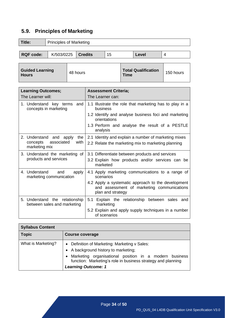# <span id="page-34-0"></span>**5.9. Principles of Marketing**

| <b>Title:</b>                                                                     |  | <b>Principles of Marketing</b>                                |     |                                                                                                                       |                                                                      |                                                 |           |                                                     |                |
|-----------------------------------------------------------------------------------|--|---------------------------------------------------------------|-----|-----------------------------------------------------------------------------------------------------------------------|----------------------------------------------------------------------|-------------------------------------------------|-----------|-----------------------------------------------------|----------------|
|                                                                                   |  |                                                               |     |                                                                                                                       |                                                                      |                                                 |           |                                                     |                |
| <b>RQF code:</b>                                                                  |  | K/503/0225                                                    |     | <b>Credits</b>                                                                                                        |                                                                      | 15                                              |           | <b>Level</b>                                        | $\overline{4}$ |
|                                                                                   |  |                                                               |     |                                                                                                                       |                                                                      |                                                 |           |                                                     |                |
| <b>Guided Learning</b><br>48 hours<br><b>Hours</b>                                |  |                                                               |     | Time                                                                                                                  |                                                                      | <b>Total Qualification</b>                      | 150 hours |                                                     |                |
|                                                                                   |  |                                                               |     |                                                                                                                       |                                                                      |                                                 |           |                                                     |                |
| <b>Learning Outcomes;</b><br>The Learner will:                                    |  |                                                               |     |                                                                                                                       |                                                                      | <b>Assessment Criteria;</b><br>The Learner can: |           |                                                     |                |
|                                                                                   |  | 1. Understand key terms<br>concepts in marketing              | and |                                                                                                                       | 1.1 Illustrate the role that marketing has to play in a<br>business  |                                                 |           |                                                     |                |
|                                                                                   |  |                                                               |     |                                                                                                                       | 1.2 Identify and analyse business foci and marketing<br>orientations |                                                 |           |                                                     |                |
|                                                                                   |  |                                                               |     |                                                                                                                       | 1.3 Perform and analyse the result of a PESTLE<br>analysis           |                                                 |           |                                                     |                |
| 2. Understand and apply<br>the<br>associated<br>with<br>concepts<br>marketing mix |  |                                                               |     | 2.1 Identity and explain a number of marketing mixes<br>2.2 Relate the marketing mix to marketing planning            |                                                                      |                                                 |           |                                                     |                |
|                                                                                   |  | 3. Understand the marketing of                                |     |                                                                                                                       |                                                                      |                                                 |           | 3.1 Differentiate between products and services     |                |
|                                                                                   |  | products and services                                         |     |                                                                                                                       | 3.2 Explain how products and/or services can be<br>marketed          |                                                 |           |                                                     |                |
| 4. Understand<br>and<br>apply<br>marketing communication                          |  |                                                               |     | 4.1 Apply marketing communications to a range of<br>scenarios                                                         |                                                                      |                                                 |           |                                                     |                |
|                                                                                   |  |                                                               |     | 4.2 Apply a systematic approach to the development<br>and assessment of marketing communications<br>plan and strategy |                                                                      |                                                 |           |                                                     |                |
|                                                                                   |  | 5. Understand the relationship<br>between sales and marketing |     |                                                                                                                       |                                                                      | marketing                                       |           | 5.1 Explain the relationship between sales and      |                |
|                                                                                   |  |                                                               |     |                                                                                                                       |                                                                      | of scenarios                                    |           | 5.2 Explain and apply supply techniques in a number |                |

| <b>Syllabus Content</b> |                                                                                                                                                                                                                                               |  |  |  |  |  |
|-------------------------|-----------------------------------------------------------------------------------------------------------------------------------------------------------------------------------------------------------------------------------------------|--|--|--|--|--|
| <b>Topic</b>            | <b>Course coverage</b>                                                                                                                                                                                                                        |  |  |  |  |  |
| What is Marketing?      | • Definition of Marketing: Marketing v Sales:<br>• A background history to marketing;<br>Marketing organisational position in a modern business<br>function: Marketing's role in business strategy and planning<br><b>Learning Outcome: 1</b> |  |  |  |  |  |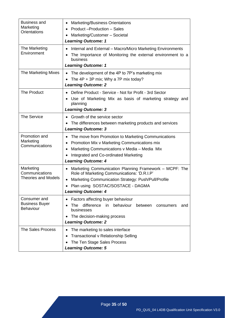| Business and<br>Marketing<br><b>Orientations</b>          | <b>Marketing/Business Orientations</b><br>٠<br>Product-Production - Sales<br>$\bullet$<br>Marketing/Customer - Societal<br><b>Learning Outcome: 1</b>                                                                                        |  |  |  |  |  |
|-----------------------------------------------------------|----------------------------------------------------------------------------------------------------------------------------------------------------------------------------------------------------------------------------------------------|--|--|--|--|--|
| The Marketing<br>Environment                              | Internal and External - Macro/Micro Marketing Environments<br>The Importance of Monitoring the external environment to a<br>business<br><b>Learning Outcome: 1</b>                                                                           |  |  |  |  |  |
| The Marketing Mixes                                       | The development of the 4P to 7P's marketing mix<br>The $4P + 3P$ mix; Why a 7P mix today?<br><b>Learning Outcome: 2</b>                                                                                                                      |  |  |  |  |  |
| <b>The Product</b>                                        | Define Product - Service - Not for Profit - 3rd Sector<br>Use of Marketing Mix as basis of marketing strategy and<br>planning<br><b>Learning Outcome: 3</b>                                                                                  |  |  |  |  |  |
| <b>The Service</b>                                        | Growth of the service sector<br>The differences between marketing products and services<br><b>Learning Outcome: 3</b>                                                                                                                        |  |  |  |  |  |
| Promotion and<br>Marketing<br>Communications              | The move from Promotion to Marketing Communications<br>$\bullet$<br>Promotion Mix v Marketing Communications mix<br>Marketing Communications v Media - Media Mix<br>Integrated and Co-ordinated Marketing<br><b>Learning Outcome: 4</b>      |  |  |  |  |  |
| Marketing<br>Communications<br><b>Theories and Models</b> | Marketing Communication Planning Framework - MCPF: The<br>$\bullet$<br>Role of Marketing Communications: 'D.R.I.P'<br>Marketing Communication Strategy: Push/Pull/Profile<br>Plan using SOSTAC/SOSTACE - DAGMA<br><b>Learning Outcome: 4</b> |  |  |  |  |  |
| Consumer and<br><b>Business Buyer</b><br><b>Behaviour</b> | Factors affecting buyer behaviour<br>$\bullet$<br>difference in behaviour<br>The<br>between<br>consumers<br>and<br>businesses<br>The decision-making process<br>٠<br><b>Learning Outcome: 2</b>                                              |  |  |  |  |  |
| <b>The Sales Process</b>                                  | The marketing to sales interface<br><b>Transactional v Relationship Selling</b><br>The Ten Stage Sales Process<br><b>Learning Outcome: 5</b>                                                                                                 |  |  |  |  |  |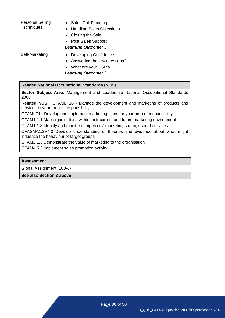| <b>Personal Selling</b><br><b>Techniques</b> | • Sales Call Planning<br>• Handling Sales Objections<br>Closing the Sale<br>• Post Sales Support<br><b>Learning Outcome: 5</b> |
|----------------------------------------------|--------------------------------------------------------------------------------------------------------------------------------|
| Self-Marketing                               | Developing Confidence<br>$\bullet$<br>Answering the key questions?<br>What are your USP's?<br><b>Learning Outcome: 5</b>       |

**Sector Subject Area:** Management and Leadership National Occupational Standards 2008

**Related NOS:** CFAMLF16 - [Manage the development and](http://www.cfa.uk.com/images/standards_management/M&LF16%20-%20Manage%20the%20development%20and%20marketing%20of%20products_services%20in%20your%20area%20of%20responsibility.pdf) marketing of products and [services in your area](http://www.cfa.uk.com/images/standards_management/M&LF16%20-%20Manage%20the%20development%20and%20marketing%20of%20products_services%20in%20your%20area%20of%20responsibility.pdf) of responsibility

CFAMLF4 - Develop and implement marketing [plans for your area of responsibility](http://www.cfa.uk.com/images/standards_management/M&LF4%20-%20Develop%20and%20implement%20marketing%20plans%20for%20your%20area%20of%20responsibility.pdf)

CFAM1.1.1 [Map organisations within their current and future marketing environment](http://www.cfa.uk.com/images/standards_marketing_sales/standards_marketing/MKT111%20Map%20organisations%20within%20their%20current%20and%20future%20marketing%20environment.pdf)

CFAM1.1.3 [Identify and monitor competitors` marketing strategies and activities](http://www.cfa.uk.com/images/standards_marketing_sales/standards_marketing/MKT113%20Identify%20and%20monitor%20competitors%60%20marketing%20strategies%20and%20activities.pdf)

CFASMA1.3V4.0 [Develop understanding of theories and evidence about what might](http://www.cfa.uk.com/images/standards_marketing_sales/standards_marketing/MKT135%20Develop%20understanding%20of%20theories%20and%20evidence%20about%20what%20might%20influence%20the%20behaviour%20of%20target%20groups.pdf)  [influence the behaviour of target](http://www.cfa.uk.com/images/standards_marketing_sales/standards_marketing/MKT135%20Develop%20understanding%20of%20theories%20and%20evidence%20about%20what%20might%20influence%20the%20behaviour%20of%20target%20groups.pdf) groups

CFAM2.1.3 [Demonstrate the value of marketing to the organisation](http://www.cfa.uk.com/images/standards_marketing_sales/standards_marketing/MKT213%20Demonstrate%20the%20value%20of%20marketing%20to%20the%20organisation.pdf)

CFAM4.5.3 [Implement sales promotion](http://www.cfa.uk.com/images/standards_marketing_sales/standards_marketing/MKT453%20Implement%20sales%20promotion%20activity.pdf) activity

#### **Assessment**

Global Assignment (100%)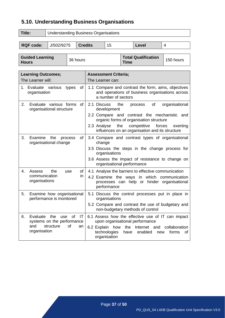# <span id="page-37-0"></span>**5.10. Understanding Business Organisations**

| Title:                                 | <b>Understanding Business Organisations</b> |          |                |             |                            |           |   |  |
|----------------------------------------|---------------------------------------------|----------|----------------|-------------|----------------------------|-----------|---|--|
|                                        |                                             |          |                |             |                            |           |   |  |
| <b>RQF code:</b>                       | J/502/9275                                  |          | <b>Credits</b> | 15          |                            | Level     | 4 |  |
|                                        |                                             |          |                |             |                            |           |   |  |
| <b>Guided Learning</b><br><b>Hours</b> |                                             | 36 hours |                | <b>Time</b> | <b>Total Qualification</b> | 150 hours |   |  |

| <b>Learning Outcomes;</b><br>The Learner will:                                                                         | <b>Assessment Criteria;</b><br>The Learner can:                                                                                                                                                                                                                               |
|------------------------------------------------------------------------------------------------------------------------|-------------------------------------------------------------------------------------------------------------------------------------------------------------------------------------------------------------------------------------------------------------------------------|
| of<br>Evaluate various<br>types<br>1.<br>organisation                                                                  | 1.1 Compare and contrast the form, aims, objectives<br>and operations of business organisations across<br>a number of sectors                                                                                                                                                 |
| Evaluate various forms<br>2.<br>of<br>organisational structure                                                         | 2.1 Discuss<br>the<br>of<br>organisational<br>process<br>development<br>2.2 Compare and contrast the mechanistic and<br>organic forms of organisation structure<br>2.3 Analyse<br>the<br>competitive<br>forces<br>exerting<br>influences on an organisation and its structure |
| 3.<br>Examine<br>of<br>the<br>process<br>organisational change                                                         | 3.4 Compare and contrast types of organisational<br>change<br>3.5 Discuss the steps in the change process for<br>organisations<br>3.6 Assess the impact of resistance to change on<br>organisational performance                                                              |
| the<br>4.<br>Assess<br>of<br>use<br>communication<br>in.<br>organisations                                              | 4.1 Analyse the barriers to effective communication<br>4.2 Examine the ways in which communication<br>processes can help or hinder organisational<br>performance                                                                                                              |
| Examine how organisational<br>5.<br>performance is monitored                                                           | 5.1 Discuss the control processes put in place in<br>organisations<br>5.2 Compare and contrast the use of budgetary and<br>non-budgetary methods of control                                                                                                                   |
| Evaluate<br>the<br>of<br>IT<br>6.<br>use<br>systems on the performance<br>and<br>structure<br>of<br>an<br>organisation | 6.1 Assess how the effective use of IT can impact<br>upon organisational performance<br>6.2 Explain how<br>the Internet and<br>collaboration<br>technologies<br>enabled<br>have<br>forms<br>new<br>0f<br>organisation                                                         |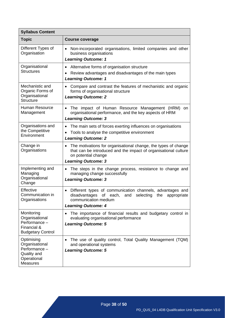| <b>Syllabus Content</b>                                                                        |                                                                                                                                                                                                     |  |  |  |  |  |
|------------------------------------------------------------------------------------------------|-----------------------------------------------------------------------------------------------------------------------------------------------------------------------------------------------------|--|--|--|--|--|
| <b>Topic</b>                                                                                   | <b>Course coverage</b>                                                                                                                                                                              |  |  |  |  |  |
| Different Types of<br>Organisation                                                             | Non-incorporated organisations, limited companies and other<br>$\bullet$<br>business organisations<br><b>Learning Outcome: 1</b>                                                                    |  |  |  |  |  |
| Organisational<br><b>Structures</b>                                                            | Alternative forms of organisation structure<br>٠<br>Review advantages and disadvantages of the main types<br><b>Learning Outcome: 1</b>                                                             |  |  |  |  |  |
| Mechanistic and<br>Organic Forms of<br>Organisational<br><b>Structure</b>                      | Compare and contrast the features of mechanistic and organic<br>$\bullet$<br>forms of organisational structure<br><b>Learning Outcome: 2</b>                                                        |  |  |  |  |  |
| <b>Human Resource</b><br>Management                                                            | The impact of Human Resource Management (HRM)<br>on<br>$\bullet$<br>organisational performance, and the key aspects of HRM<br><b>Learning Outcome: 3</b>                                            |  |  |  |  |  |
| Organisations and<br>the Competitive<br>Environment                                            | The main sets of forces exerting influences on organisations<br>$\bullet$<br>Tools to analyse the competitive environment<br><b>Learning Outcome: 2</b>                                             |  |  |  |  |  |
| Change in<br>Organisations                                                                     | The motivations for organisational change, the types of change<br>٠<br>that can be introduced and the impact of organisational culture<br>on potential change<br><b>Learning Outcome: 3</b>         |  |  |  |  |  |
| Implementing and<br>Managing<br>Organisational<br>Change                                       | The steps in the change process, resistance to change and<br>$\bullet$<br>managing change successfully<br><b>Learning Outcome: 3</b>                                                                |  |  |  |  |  |
| Effective<br>Communication in<br>Organisations                                                 | Different types of communication channels, advantages and<br>$\bullet$<br>disadvantages<br>of each,<br>selecting<br>and<br>the<br>appropriate<br>communication medium<br><b>Learning Outcome: 4</b> |  |  |  |  |  |
| Monitoring<br>Organisational<br>Performance -<br>Financial &<br><b>Budgetary Control</b>       | The importance of financial results and budgetary control in<br>$\bullet$<br>evaluating organisational performance<br><b>Learning Outcome: 5</b>                                                    |  |  |  |  |  |
| Optimising<br>Organisational<br>Performance -<br>Quality and<br>Operational<br><b>Measures</b> | The use of quality control, Total Quality Management (TQM)<br>$\bullet$<br>and operational systems<br><b>Learning Outcome: 5</b>                                                                    |  |  |  |  |  |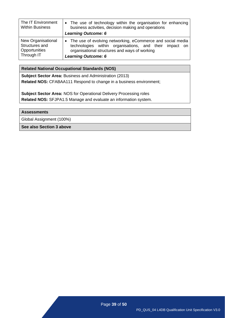| The IT Environment<br><b>Within Business</b> | • The use of technology within the organisation for enhancing<br>business activities, decision making and operations<br><b>Learning Outcome: 6</b> |
|----------------------------------------------|----------------------------------------------------------------------------------------------------------------------------------------------------|
| New Organisational                           | • The use of evolving networking, eCommerce and social media                                                                                       |
| Structures and                               | technologies within organisations, and their impact on                                                                                             |
| Opportunities                                | organisational structures and ways of working                                                                                                      |
| Through IT                                   | <b>Learning Outcome: 6</b>                                                                                                                         |

**Subject Sector Area:** Business and Administration (2013) **Related NOS:** CFABAA111 Respond to change in a business environment;

**Subject Sector Area:** NOS for Operational Delivery Processing roles **Related NOS:** SFJPA1.5 Manage and evaluate an information system.

**Assessments**

Global Assignment (100%)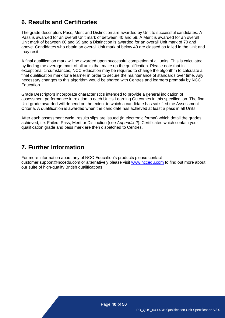# <span id="page-40-0"></span>**6. Results and Certificates**

The grade descriptors Pass, Merit and Distinction are awarded by Unit to successful candidates. A Pass is awarded for an overall Unit mark of between 40 and 59. A Merit is awarded for an overall Unit mark of between 60 and 69 and a Distinction is awarded for an overall Unit mark of 70 and above. Candidates who obtain an overall Unit mark of below 40 are classed as failed in the Unit and may resit.

A final qualification mark will be awarded upon successful completion of all units. This is calculated by finding the average mark of all units that make up the qualification. Please note that in exceptional circumstances, NCC Education may be required to change the algorithm to calculate a final qualification mark for a learner in order to secure the maintenance of standards over time. Any necessary changes to this algorithm would be shared with Centres and learners promptly by NCC Education.

Grade Descriptors incorporate characteristics intended to provide a general indication of assessment performance in relation to each Unit's Learning Outcomes in this specification. The final Unit grade awarded will depend on the extent to which a candidate has satisfied the Assessment Criteria. A qualification is awarded when the candidate has achieved at least a pass in all Units.

After each assessment cycle, results slips are issued (in electronic format) which detail the grades achieved, i.e. Failed, Pass, Merit or Distinction (see *Appendix 2*). Certificates which contain your qualification grade and pass mark are then dispatched to Centres.

# <span id="page-40-1"></span>**7. Further Information**

For more information about any of NCC Education's products please contact customer.support@nccedu.com or alternatively please visit [www.nccedu.com](http://www.nccedu.com/) to find out more about our suite of high-quality British qualifications.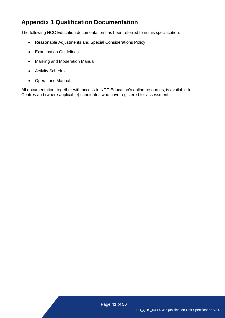# <span id="page-41-0"></span>**Appendix 1 Qualification Documentation**

The following NCC Education documentation has been referred to in this specification:

- Reasonable Adjustments and Special Considerations Policy
- Examination Guidelines
- Marking and Moderation Manual
- Activity Schedule
- Operations Manual

All documentation, together with access to NCC Education's online resources, is available to Centres and (where applicable) candidates who have registered for assessment.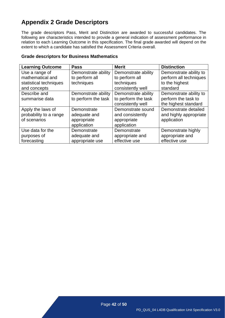# <span id="page-42-0"></span>**Appendix 2 Grade Descriptors**

The grade descriptors Pass, Merit and Distinction are awarded to successful candidates. The following are characteristics intended to provide a general indication of assessment performance in relation to each Learning Outcome in this specification. The final grade awarded will depend on the extent to which a candidate has satisfied the Assessment Criteria overall.

| <b>Learning Outcome</b> | <b>Pass</b>         | <b>Merit</b>        | <b>Distinction</b>     |
|-------------------------|---------------------|---------------------|------------------------|
| Use a range of          | Demonstrate ability | Demonstrate ability | Demonstrate ability to |
| mathematical and        | to perform all      | to perform all      | perform all techniques |
| statistical techniques  | techniques          | techniques          | to the highest         |
| and concepts            |                     | consistently well   | standard               |
| Describe and            | Demonstrate ability | Demonstrate ability | Demonstrate ability to |
| summarise data          | to perform the task | to perform the task | perform the task to    |
|                         |                     | consistently well   | the highest standard   |
| Apply the laws of       | Demonstrate         | Demonstrate sound   | Demonstrate detailed   |
| probability to a range  | adequate and        | and consistently    | and highly appropriate |
| of scenarios            | appropriate         | appropriate         | application            |
|                         | application         | application         |                        |
| Use data for the        | Demonstrate         | Demonstrate         | Demonstrate highly     |
| purposes of             | adequate and        | appropriate and     | appropriate and        |
| forecasting             | appropriate use     | effective use       | effective use          |

#### **Grade descriptors for Business Mathematics**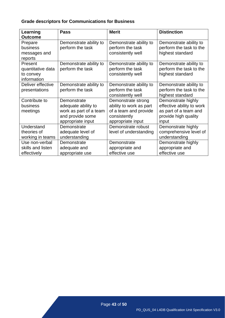# **Grade descriptors for Communications for Business**

| Learning          | <b>Pass</b>            | <b>Merit</b>            | <b>Distinction</b>        |
|-------------------|------------------------|-------------------------|---------------------------|
| <b>Outcome</b>    |                        |                         |                           |
| Prepare           | Demonstrate ability to | Demonstrate ability to  | Demonstrate ability to    |
| business          | perform the task       | perform the task        | perform the task to the   |
| messages and      |                        | consistently well       | highest standard          |
| reports           |                        |                         |                           |
| Present           | Demonstrate ability to | Demonstrate ability to  | Demonstrate ability to    |
| quantitative data | perform the task       | perform the task        | perform the task to the   |
| to convey         |                        | consistently well       | highest standard          |
| information       |                        |                         |                           |
| Deliver effective | Demonstrate ability to | Demonstrate ability to  | Demonstrate ability to    |
| presentations     | perform the task       | perform the task        | perform the task to the   |
|                   |                        | consistently well       | highest standard          |
| Contribute to     | Demonstrate            | Demonstrate strong      | Demonstrate highly        |
| business          | adequate ability to    | ability to work as part | effective ability to work |
| meetings          | work as part of a team | of a team and provide   | as part of a team and     |
|                   | and provide some       | consistently            | provide high quality      |
|                   | appropriate input      | appropriate input       | input                     |
| Understand        | Demonstrate            | Demonstrate robust      | Demonstrate highly        |
| theories of       | adequate level of      | level of understanding  | comprehensive level of    |
| working in teams  | understanding          |                         | understanding             |
| Use non-verbal    | Demonstrate            | Demonstrate             | Demonstrate highly        |
| skills and listen | adequate and           | appropriate and         | appropriate and           |
| effectively       | appropriate use        | effective use           | effective use             |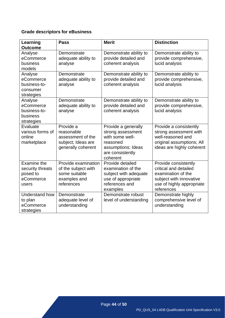### **Grade descriptors for eBusiness**

| Learning<br><b>Outcome</b>                                        | <b>Pass</b>                                                                               | <b>Merit</b>                                                                                                                  | <b>Distinction</b>                                                                                                                        |
|-------------------------------------------------------------------|-------------------------------------------------------------------------------------------|-------------------------------------------------------------------------------------------------------------------------------|-------------------------------------------------------------------------------------------------------------------------------------------|
| Analyse<br>eCommerce<br>business<br>models                        | Demonstrate<br>adequate ability to<br>analyse                                             | Demonstrate ability to<br>provide detailed and<br>coherent analysis                                                           | Demonstrate ability to<br>provide comprehensive,<br>lucid analysis                                                                        |
| Analyse<br>eCommerce<br>business-to-<br>consumer<br>strategies    | Demonstrate<br>adequate ability to<br>analyse                                             | Demonstrate ability to<br>provide detailed and<br>coherent analysis                                                           | Demonstrate ability to<br>provide comprehensive,<br>lucid analysis                                                                        |
| Analyse<br>eCommerce<br>business-to-<br>business<br>strategies    | Demonstrate<br>adequate ability to<br>analyse                                             | Demonstrate ability to<br>provide detailed and<br>coherent analysis                                                           | Demonstrate ability to<br>provide comprehensive,<br>lucid analysis                                                                        |
| Evaluate<br>various forms of<br>online<br>marketplace             | Provide a<br>reasonable<br>assessment of the<br>subject; Ideas are<br>generally coherent  | Provide a generally<br>strong assessment<br>with some well-<br>reasoned<br>assumptions; Ideas<br>are consistently<br>coherent | Provide a consistently<br>strong assessment with<br>well-reasoned and<br>original assumptions; All<br>ideas are highly coherent           |
| Examine the<br>security threats<br>posed to<br>eCommerce<br>users | Provide examination<br>of the subject with<br>some suitable<br>examples and<br>references | Provide detailed<br>examination of the<br>subject with adequate<br>use of appropriate<br>references and<br>examples           | Provide consistently<br>critical and detailed<br>examination of the<br>subject with innovative<br>use of highly appropriate<br>references |
| Understand how<br>to plan<br>eCommerce<br>strategies              | Demonstrate<br>adequate level of<br>understanding                                         | Demonstrate robust<br>level of understanding                                                                                  | Demonstrate highly<br>comprehensive level of<br>understanding                                                                             |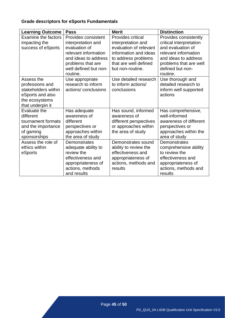# **Grade descriptors for eSports Fundamentals**

| <b>Learning Outcome</b>                                                                                        | <b>Pass</b>                                                                                                                     | <b>Merit</b>                                                                                                              | <b>Distinction</b>                                                                                                                   |
|----------------------------------------------------------------------------------------------------------------|---------------------------------------------------------------------------------------------------------------------------------|---------------------------------------------------------------------------------------------------------------------------|--------------------------------------------------------------------------------------------------------------------------------------|
| <b>Examine the factors</b><br>impacting the<br>success of eSports                                              | Provides consistent<br>interpretation and<br>evaluation of                                                                      | <b>Provides critical</b><br>interpretation and<br>evaluation of relevant                                                  | Provides consistently<br>critical interpretation<br>and evaluation of                                                                |
|                                                                                                                | relevant information<br>and ideas to address<br>problems that are<br>well defined but non-<br>routine.                          | information and ideas<br>to address problems<br>that are well defined<br>but non-routine.                                 | relevant information<br>and ideas to address<br>problems that are well<br>defined but non-<br>routine.                               |
| Assess the<br>professions and<br>stakeholders within<br>eSports and also<br>the ecosystems<br>that underpin it | Use appropriate<br>research to inform<br>actions/conclusions                                                                    | Use detailed research<br>to inform actions/<br>conclusions                                                                | Use thorough and<br>detailed research to<br>inform well supported<br>actions                                                         |
| Evaluate the<br>different<br>tournament formats<br>and the importance<br>of gaming<br>sponsorships             | Has adequate<br>awareness of<br>different<br>perspectives or<br>approaches within<br>the area of study                          | Has sound, informed<br>awareness of<br>different perspectives<br>or approaches within<br>the area of study                | Has comprehensive,<br>well-informed<br>awareness of different<br>perspectives or<br>approaches within the<br>area of study           |
| Assess the role of<br>ethics within<br>eSports                                                                 | Demonstrates<br>adequate ability to<br>review the<br>effectiveness and<br>appropriateness of<br>actions, methods<br>and results | Demonstrates sound<br>ability to review the<br>effectiveness and<br>appropriateness of<br>actions, methods and<br>results | Demonstrates<br>comprehensive ability<br>to review the<br>effectiveness and<br>appropriateness of<br>actions, methods and<br>results |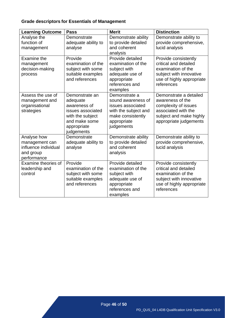# **Grade descriptors for Essentials of Management**

| <b>Learning Outcome</b>                                                           | <b>Pass</b>                                                                                                                       | <b>Merit</b>                                                                                                                       | <b>Distinction</b>                                                                                                                             |
|-----------------------------------------------------------------------------------|-----------------------------------------------------------------------------------------------------------------------------------|------------------------------------------------------------------------------------------------------------------------------------|------------------------------------------------------------------------------------------------------------------------------------------------|
| Analyse the<br>function of<br>management                                          | Demonstrate<br>adequate ability to<br>analyse                                                                                     | Demonstrate ability<br>to provide detailed<br>and coherent<br>analysis                                                             | Demonstrate ability to<br>provide comprehensive,<br>lucid analysis                                                                             |
| Examine the<br>management<br>decision-making<br>process                           | Provide<br>examination of the<br>subject with some<br>suitable examples<br>and references                                         | Provide detailed<br>examination of the<br>subject with<br>adequate use of<br>appropriate<br>references and<br>examples             | Provide consistently<br>critical and detailed<br>examination of the<br>subject with innovative<br>use of highly appropriate<br>references      |
| Assess the use of<br>management and<br>organisational<br>strategies               | Demonstrate an<br>adequate<br>awareness of<br>issues associated<br>with the subject<br>and make some<br>appropriate<br>judgements | Demonstrate a<br>sound awareness of<br>issues associated<br>with the subject and<br>make consistently<br>appropriate<br>judgements | Demonstrate a detailed<br>awareness of the<br>complexity of issues<br>associated with the<br>subject and make highly<br>appropriate judgements |
| Analyse how<br>management can<br>influence individual<br>and group<br>performance | Demonstrate<br>adequate ability to<br>analyse                                                                                     | Demonstrate ability<br>to provide detailed<br>and coherent<br>analysis                                                             | Demonstrate ability to<br>provide comprehensive,<br>lucid analysis                                                                             |
| Examine theories of<br>leadership and<br>control                                  | Provide<br>examination of the<br>subject with some<br>suitable examples<br>and references                                         | Provide detailed<br>examination of the<br>subject with<br>adequate use of<br>appropriate<br>references and<br>examples             | Provide consistently<br>critical and detailed<br>examination of the<br>subject with innovative<br>use of highly appropriate<br>references      |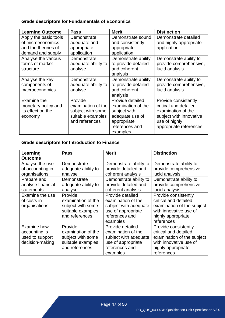### **Grade descriptors for Fundamentals of Economics**

| <b>Learning Outcome</b>                                                                | <b>Pass</b>                                                                               | <b>Merit</b>                                                                                                           | <b>Distinction</b>                                                                                                                        |
|----------------------------------------------------------------------------------------|-------------------------------------------------------------------------------------------|------------------------------------------------------------------------------------------------------------------------|-------------------------------------------------------------------------------------------------------------------------------------------|
| Apply the basic tools<br>of microeconomics<br>and the theories of<br>demand and supply | Demonstrate<br>adequate and<br>appropriate<br>application                                 | Demonstrate sound<br>and consistently<br>appropriate<br>application                                                    | Demonstrate detailed<br>and highly appropriate<br>application                                                                             |
| Analyse the various<br>forms of market<br>structure                                    | Demonstrate<br>adequate ability to<br>analyse                                             | Demonstrate ability<br>to provide detailed<br>and coherent<br>analysis                                                 | Demonstrate ability to<br>provide comprehensive,<br>lucid analysis                                                                        |
| Analyse the key<br>components of<br>macroeconomics                                     | Demonstrate<br>adequate ability to<br>analyse                                             | Demonstrate ability<br>to provide detailed<br>and coherent<br>analysis                                                 | Demonstrate ability to<br>provide comprehensive,<br>lucid analysis                                                                        |
| Examine the<br>monetary policy and<br>its effect on the<br>economy                     | Provide<br>examination of the<br>subject with some<br>suitable examples<br>and references | Provide detailed<br>examination of the<br>subject with<br>adequate use of<br>appropriate<br>references and<br>examples | Provide consistently<br>critical and detailed<br>examination of the<br>subject with innovative<br>use of highly<br>appropriate references |

### **Grade descriptors for Introduction to Finance**

| Learning                                                            | <b>Pass</b>                                                                               | <b>Merit</b>                                                                                                        | <b>Distinction</b>                                                                                                                        |
|---------------------------------------------------------------------|-------------------------------------------------------------------------------------------|---------------------------------------------------------------------------------------------------------------------|-------------------------------------------------------------------------------------------------------------------------------------------|
| <b>Outcome</b>                                                      |                                                                                           |                                                                                                                     |                                                                                                                                           |
| Analyse the use<br>of accounting in<br>organisations<br>Prepare and | Demonstrate<br>adequate ability to<br>analyse<br>Demonstrate                              | Demonstrate ability to<br>provide detailed and<br>coherent analysis<br>Demonstrate ability to                       | Demonstrate ability to<br>provide comprehensive,<br>lucid analysis<br>Demonstrate ability to                                              |
| analyse financial<br>statements                                     | adequate ability to<br>analyse                                                            | provide detailed and<br>coherent analysis                                                                           | provide comprehensive,<br>lucid analysis                                                                                                  |
| Examine the use<br>of costs in<br>organisations                     | Provide<br>examination of the<br>subject with some<br>suitable examples<br>and references | Provide detailed<br>examination of the<br>subject with adequate<br>use of appropriate<br>references and<br>examples | Provide consistently<br>critical and detailed<br>examination of the subject<br>with innovative use of<br>highly appropriate<br>references |
| Examine how<br>accounting is<br>used to support<br>decision-making  | Provide<br>examination of the<br>subject with some<br>suitable examples<br>and references | Provide detailed<br>examination of the<br>subject with adequate<br>use of appropriate<br>references and<br>examples | Provide consistently<br>critical and detailed<br>examination of the subject<br>with innovative use of<br>highly appropriate<br>references |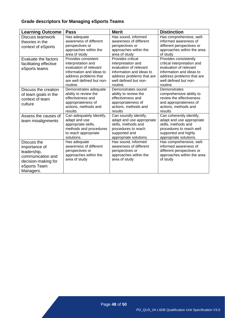# **Grade descriptors for Managing eSports Teams**

| <b>Learning Outcome</b>                                                                                              | <b>Pass</b>                                                                                                                                                       | <b>Merit</b>                                                                                                                                                    | <b>Distinction</b>                                                                                                                                                           |
|----------------------------------------------------------------------------------------------------------------------|-------------------------------------------------------------------------------------------------------------------------------------------------------------------|-----------------------------------------------------------------------------------------------------------------------------------------------------------------|------------------------------------------------------------------------------------------------------------------------------------------------------------------------------|
| Discuss teamwork<br>theories in the<br>context of eSports                                                            | Has adequate<br>awareness of different<br>perspectives or<br>approaches within the<br>area of study                                                               | Has sound, informed<br>awareness of different<br>perspectives or<br>approaches within the<br>area of study                                                      | Has comprehensive, well-<br>informed awareness of<br>different perspectives or<br>approaches within the area<br>of study                                                     |
| Evaluate the factors<br>facilitating effective<br>eSports teams                                                      | Provides consistent<br>interpretation and<br>evaluation of relevant<br>information and ideas to<br>address problems that<br>are well defined but non-<br>routine. | Provides critical<br>interpretation and<br>evaluation of relevant<br>information and ideas to<br>address problems that are<br>well defined but non-<br>routine. | Provides consistently<br>critical interpretation and<br>evaluation of relevant<br>information and ideas to<br>address problems that are<br>well defined but non-<br>routine. |
| Discuss the creation<br>of team goals in the<br>context of team<br>culture                                           | Demonstrates adequate<br>ability to review the<br>effectiveness and<br>appropriateness of<br>actions, methods and<br>results                                      | Demonstrates sound<br>ability to review the<br>effectiveness and<br>appropriateness of<br>actions, methods and<br>results                                       | Demonstrates<br>comprehensive ability to<br>review the effectiveness<br>and appropriateness of<br>actions, methods and<br>results                                            |
| Assess the causes of<br>team misalignments                                                                           | Can adequately Identify,<br>adapt and use<br>appropriate skills,<br>methods and procedures<br>to reach appropriate<br>solutions.                                  | Can soundly identify,<br>adapt and use appropriate<br>skills, methods and<br>procedures to reach<br>supported and<br>appropriate solutions.                     | Can coherently identify,<br>adapt and use appropriate<br>skills, methods and<br>procedures to reach well<br>supported and highly<br>appropriate solutions.                   |
| Discuss the<br>importance of<br>leadership,<br>communication and<br>decision-making for<br>eSports Team<br>Managers. | Has adequate<br>awareness of different<br>perspectives or<br>approaches within the<br>area of study                                                               | Has sound, informed<br>awareness of different<br>perspectives or<br>approaches within the<br>area of study                                                      | Has comprehensive, well-<br>informed awareness of<br>different perspectives or<br>approaches within the area<br>of study                                                     |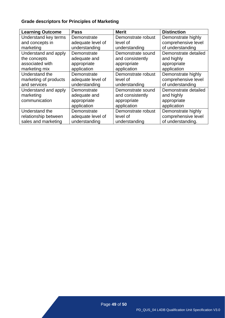# **Grade descriptors for Principles of Marketing**

| <b>Learning Outcome</b> | <b>Pass</b>       | <b>Merit</b>       | <b>Distinction</b>   |
|-------------------------|-------------------|--------------------|----------------------|
| Understand key terms    | Demonstrate       | Demonstrate robust | Demonstrate highly   |
| and concepts in         | adequate level of | level of           | comprehensive level  |
| marketing               | understanding     | understanding      | of understanding     |
| Understand and apply    | Demonstrate       | Demonstrate sound  | Demonstrate detailed |
| the concepts            | adequate and      | and consistently   | and highly           |
| associated with         | appropriate       | appropriate        | appropriate          |
| marketing mix           | application       | application        | application          |
| Understand the          | Demonstrate       | Demonstrate robust | Demonstrate highly   |
| marketing of products   | adequate level of | level of           | comprehensive level  |
| and services            | understanding     | understanding      | of understanding     |
| Understand and apply    | Demonstrate       | Demonstrate sound  | Demonstrate detailed |
| marketing               | adequate and      | and consistently   | and highly           |
| communication           | appropriate       | appropriate        | appropriate          |
|                         | application       | application        | application          |
| Understand the          | Demonstrate       | Demonstrate robust | Demonstrate highly   |
| relationship between    | adequate level of | level of           | comprehensive level  |
| sales and marketing     | understanding     | understanding      | of understanding.    |